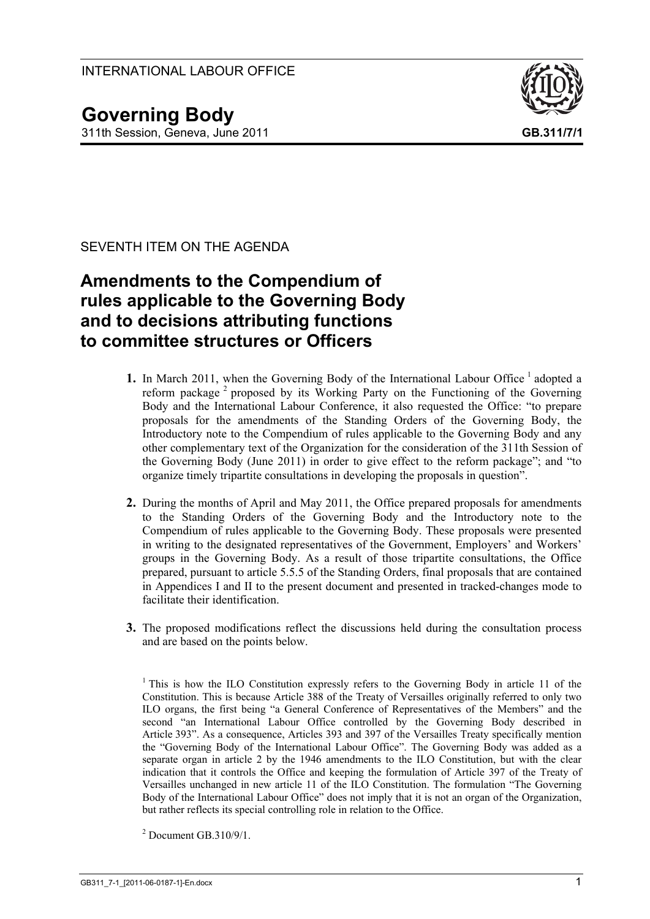

SEVENTH ITEM ON THE AGENDA

# **Amendments to the Compendium of rules applicable to the Governing Body and to decisions attributing functions to committee structures or Officers**

- 1. In March 2011, when the Governing Body of the International Labour Office<sup>1</sup> adopted a reform package<sup>2</sup> proposed by its Working Party on the Functioning of the Governing Body and the International Labour Conference, it also requested the Office: "to prepare proposals for the amendments of the Standing Orders of the Governing Body, the Introductory note to the Compendium of rules applicable to the Governing Body and any other complementary text of the Organization for the consideration of the 311th Session of the Governing Body (June 2011) in order to give effect to the reform package"; and "to organize timely tripartite consultations in developing the proposals in question".
- **2.** During the months of April and May 2011, the Office prepared proposals for amendments to the Standing Orders of the Governing Body and the Introductory note to the Compendium of rules applicable to the Governing Body. These proposals were presented in writing to the designated representatives of the Government, Employers' and Workers' groups in the Governing Body. As a result of those tripartite consultations, the Office prepared, pursuant to article 5.5.5 of the Standing Orders, final proposals that are contained in Appendices I and II to the present document and presented in tracked-changes mode to facilitate their identification.
- **3.** The proposed modifications reflect the discussions held during the consultation process and are based on the points below.

<sup>&</sup>lt;sup>1</sup> This is how the ILO Constitution expressly refers to the Governing Body in article 11 of the Constitution. This is because Article 388 of the Treaty of Versailles originally referred to only two ILO organs, the first being "a General Conference of Representatives of the Members" and the second "an International Labour Office controlled by the Governing Body described in Article 393". As a consequence, Articles 393 and 397 of the Versailles Treaty specifically mention the "Governing Body of the International Labour Office". The Governing Body was added as a separate organ in article 2 by the 1946 amendments to the ILO Constitution, but with the clear indication that it controls the Office and keeping the formulation of Article 397 of the Treaty of Versailles unchanged in new article 11 of the ILO Constitution. The formulation "The Governing Body of the International Labour Office" does not imply that it is not an organ of the Organization, but rather reflects its special controlling role in relation to the Office.

 $2$  Document GB.310/9/1.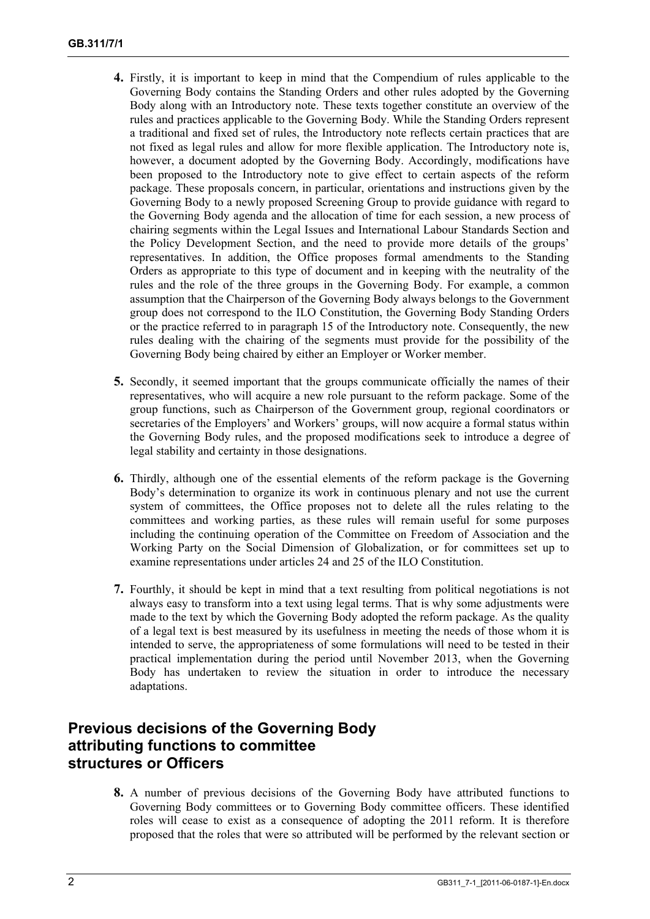- **4.** Firstly, it is important to keep in mind that the Compendium of rules applicable to the Governing Body contains the Standing Orders and other rules adopted by the Governing Body along with an Introductory note. These texts together constitute an overview of the rules and practices applicable to the Governing Body. While the Standing Orders represent a traditional and fixed set of rules, the Introductory note reflects certain practices that are not fixed as legal rules and allow for more flexible application. The Introductory note is, however, a document adopted by the Governing Body. Accordingly, modifications have been proposed to the Introductory note to give effect to certain aspects of the reform package. These proposals concern, in particular, orientations and instructions given by the Governing Body to a newly proposed Screening Group to provide guidance with regard to the Governing Body agenda and the allocation of time for each session, a new process of chairing segments within the Legal Issues and International Labour Standards Section and the Policy Development Section, and the need to provide more details of the groups' representatives. In addition, the Office proposes formal amendments to the Standing Orders as appropriate to this type of document and in keeping with the neutrality of the rules and the role of the three groups in the Governing Body. For example, a common assumption that the Chairperson of the Governing Body always belongs to the Government group does not correspond to the ILO Constitution, the Governing Body Standing Orders or the practice referred to in paragraph 15 of the Introductory note. Consequently, the new rules dealing with the chairing of the segments must provide for the possibility of the Governing Body being chaired by either an Employer or Worker member.
- **5.** Secondly, it seemed important that the groups communicate officially the names of their representatives, who will acquire a new role pursuant to the reform package. Some of the group functions, such as Chairperson of the Government group, regional coordinators or secretaries of the Employers' and Workers' groups, will now acquire a formal status within the Governing Body rules, and the proposed modifications seek to introduce a degree of legal stability and certainty in those designations.
- **6.** Thirdly, although one of the essential elements of the reform package is the Governing Body's determination to organize its work in continuous plenary and not use the current system of committees, the Office proposes not to delete all the rules relating to the committees and working parties, as these rules will remain useful for some purposes including the continuing operation of the Committee on Freedom of Association and the Working Party on the Social Dimension of Globalization, or for committees set up to examine representations under articles 24 and 25 of the ILO Constitution.
- **7.** Fourthly, it should be kept in mind that a text resulting from political negotiations is not always easy to transform into a text using legal terms. That is why some adjustments were made to the text by which the Governing Body adopted the reform package. As the quality of a legal text is best measured by its usefulness in meeting the needs of those whom it is intended to serve, the appropriateness of some formulations will need to be tested in their practical implementation during the period until November 2013, when the Governing Body has undertaken to review the situation in order to introduce the necessary adaptations.

# **Previous decisions of the Governing Body attributing functions to committee structures or Officers**

**8.** A number of previous decisions of the Governing Body have attributed functions to Governing Body committees or to Governing Body committee officers. These identified roles will cease to exist as a consequence of adopting the 2011 reform. It is therefore proposed that the roles that were so attributed will be performed by the relevant section or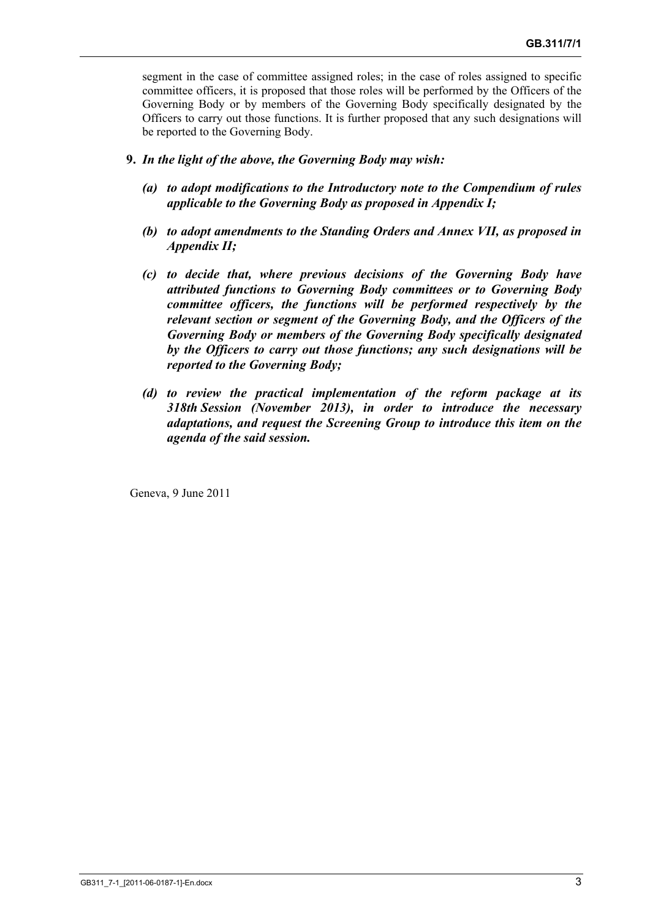segment in the case of committee assigned roles; in the case of roles assigned to specific committee officers, it is proposed that those roles will be performed by the Officers of the Governing Body or by members of the Governing Body specifically designated by the Officers to carry out those functions. It is further proposed that any such designations will be reported to the Governing Body.

- **9.** *In the light of the above, the Governing Body may wish:* 
	- *(a) to adopt modifications to the Introductory note to the Compendium of rules applicable to the Governing Body as proposed in Appendix I;*
	- *(b) to adopt amendments to the Standing Orders and Annex VII, as proposed in Appendix II;*
	- *(c) to decide that, where previous decisions of the Governing Body have attributed functions to Governing Body committees or to Governing Body committee officers, the functions will be performed respectively by the relevant section or segment of the Governing Body, and the Officers of the Governing Body or members of the Governing Body specifically designated by the Officers to carry out those functions; any such designations will be reported to the Governing Body;*
	- *(d) to review the practical implementation of the reform package at its 318th Session (November 2013), in order to introduce the necessary adaptations, and request the Screening Group to introduce this item on the agenda of the said session.*

Geneva, 9 June 2011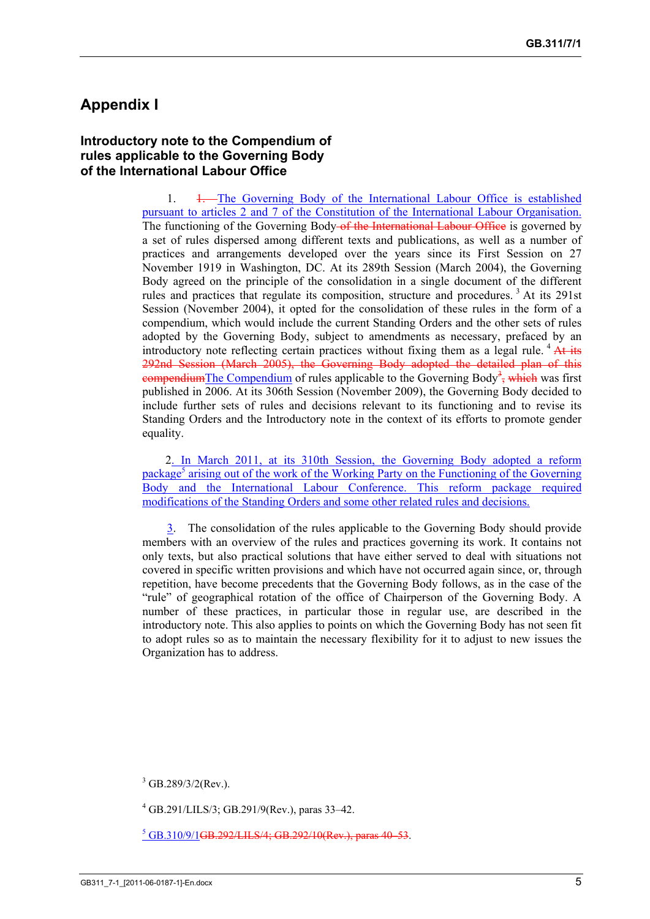# **Appendix I**

#### **Introductory note to the Compendium of rules applicable to the Governing Body of the International Labour Office**

1. 1. The Governing Body of the International Labour Office is established pursuant to articles 2 and 7 of the Constitution of the International Labour Organisation. The functioning of the Governing Body-of the International Labour Office is governed by a set of rules dispersed among different texts and publications, as well as a number of practices and arrangements developed over the years since its First Session on 27 November 1919 in Washington, DC. At its 289th Session (March 2004), the Governing Body agreed on the principle of the consolidation in a single document of the different rules and practices that regulate its composition, structure and procedures.<sup>3</sup> At its 291st Session (November 2004), it opted for the consolidation of these rules in the form of a compendium, which would include the current Standing Orders and the other sets of rules adopted by the Governing Body, subject to amendments as necessary, prefaced by an introductory note reflecting certain practices without fixing them as a legal rule.  $4$  At its 292nd Session (March 2005), the Governing Body adopted the detailed plan of this compendium The Compendium of rules applicable to the Governing Body<sup>3</sup>, which was first published in 2006. At its 306th Session (November 2009), the Governing Body decided to include further sets of rules and decisions relevant to its functioning and to revise its Standing Orders and the Introductory note in the context of its efforts to promote gender equality.

2. In March 2011, at its 310th Session, the Governing Body adopted a reform package<sup>5</sup> arising out of the work of the Working Party on the Functioning of the Governing Body and the International Labour Conference. This reform package required modifications of the Standing Orders and some other related rules and decisions.

3. The consolidation of the rules applicable to the Governing Body should provide members with an overview of the rules and practices governing its work. It contains not only texts, but also practical solutions that have either served to deal with situations not covered in specific written provisions and which have not occurred again since, or, through repetition, have become precedents that the Governing Body follows, as in the case of the "rule" of geographical rotation of the office of Chairperson of the Governing Body. A number of these practices, in particular those in regular use, are described in the introductory note. This also applies to points on which the Governing Body has not seen fit to adopt rules so as to maintain the necessary flexibility for it to adjust to new issues the Organization has to address.

 $3$  GB.289/3/2(Rev.).

<sup>5</sup> GB.310/9/1GB.292/LILS/4; GB.292/10(Rev.), paras 40-53.

<sup>4</sup> GB.291/LILS/3; GB.291/9(Rev.), paras 33–42.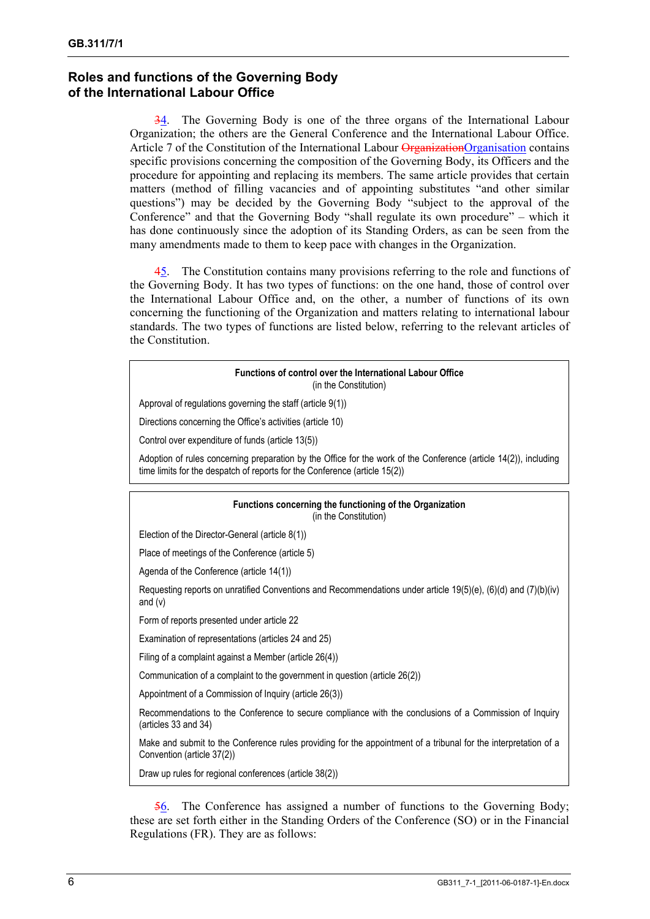# **Roles and functions of the Governing Body of the International Labour Office**

34. The Governing Body is one of the three organs of the International Labour Organization; the others are the General Conference and the International Labour Office. Article 7 of the Constitution of the International Labour OrganizationOrganisation contains specific provisions concerning the composition of the Governing Body, its Officers and the procedure for appointing and replacing its members. The same article provides that certain matters (method of filling vacancies and of appointing substitutes "and other similar questions") may be decided by the Governing Body "subject to the approval of the Conference" and that the Governing Body "shall regulate its own procedure" – which it has done continuously since the adoption of its Standing Orders, as can be seen from the many amendments made to them to keep pace with changes in the Organization.

45. The Constitution contains many provisions referring to the role and functions of the Governing Body. It has two types of functions: on the one hand, those of control over the International Labour Office and, on the other, a number of functions of its own concerning the functioning of the Organization and matters relating to international labour standards. The two types of functions are listed below, referring to the relevant articles of the Constitution.

#### **Functions of control over the International Labour Office**  (in the Constitution)

Approval of regulations governing the staff (article 9(1))

Directions concerning the Office's activities (article 10)

Control over expenditure of funds (article 13(5))

Adoption of rules concerning preparation by the Office for the work of the Conference (article 14(2)), including time limits for the despatch of reports for the Conference (article 15(2))

#### **Functions concerning the functioning of the Organization**  (in the Constitution)

Election of the Director-General (article 8(1))

Place of meetings of the Conference (article 5)

Agenda of the Conference (article 14(1))

Requesting reports on unratified Conventions and Recommendations under article 19(5)(e), (6)(d) and (7)(b)(iv) and (v)

Form of reports presented under article 22

Examination of representations (articles 24 and 25)

Filing of a complaint against a Member (article 26(4))

Communication of a complaint to the government in question (article 26(2))

Appointment of a Commission of Inquiry (article 26(3))

Recommendations to the Conference to secure compliance with the conclusions of a Commission of Inquiry (articles 33 and 34)

Make and submit to the Conference rules providing for the appointment of a tribunal for the interpretation of a Convention (article 37(2))

Draw up rules for regional conferences (article 38(2))

56. The Conference has assigned a number of functions to the Governing Body; these are set forth either in the Standing Orders of the Conference (SO) or in the Financial Regulations (FR). They are as follows: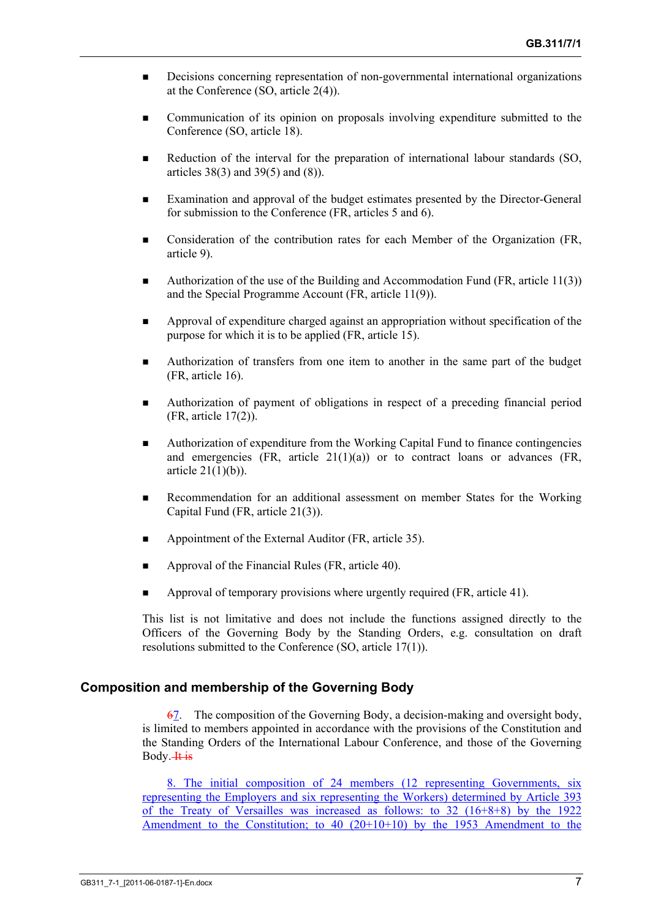- **Decisions concerning representation of non-governmental international organizations** at the Conference (SO, article 2(4)).
- Communication of its opinion on proposals involving expenditure submitted to the Conference (SO, article 18).
- Reduction of the interval for the preparation of international labour standards (SO, articles 38(3) and 39(5) and (8)).
- Examination and approval of the budget estimates presented by the Director-General for submission to the Conference (FR, articles 5 and 6).
- **Consideration of the contribution rates for each Member of the Organization (FR,** article 9).
- Authorization of the use of the Building and Accommodation Fund (FR, article 11(3)) and the Special Programme Account (FR, article 11(9)).
- Approval of expenditure charged against an appropriation without specification of the purpose for which it is to be applied (FR, article 15).
- Authorization of transfers from one item to another in the same part of the budget (FR, article 16).
- Authorization of payment of obligations in respect of a preceding financial period (FR, article 17(2)).
- Authorization of expenditure from the Working Capital Fund to finance contingencies and emergencies  $(FR, \text{ article } 21(1)(a))$  or to contract loans or advances  $(FR, \text{$ article  $21(1)(b)$ ).
- Recommendation for an additional assessment on member States for the Working Capital Fund (FR, article 21(3)).
- Appointment of the External Auditor (FR, article 35).
- Approval of the Financial Rules (FR, article 40).
- Approval of temporary provisions where urgently required (FR, article 41).

This list is not limitative and does not include the functions assigned directly to the Officers of the Governing Body by the Standing Orders, e.g. consultation on draft resolutions submitted to the Conference (SO, article 17(1)).

#### **Composition and membership of the Governing Body**

67. The composition of the Governing Body, a decision-making and oversight body, is limited to members appointed in accordance with the provisions of the Constitution and the Standing Orders of the International Labour Conference, and those of the Governing Body. H<sub>is</sub>

8. The initial composition of 24 members (12 representing Governments, six representing the Employers and six representing the Workers) determined by Article 393 of the Treaty of Versailles was increased as follows: to 32 (16+8+8) by the 1922 Amendment to the Constitution; to  $40$  ( $20+10+10$ ) by the 1953 Amendment to the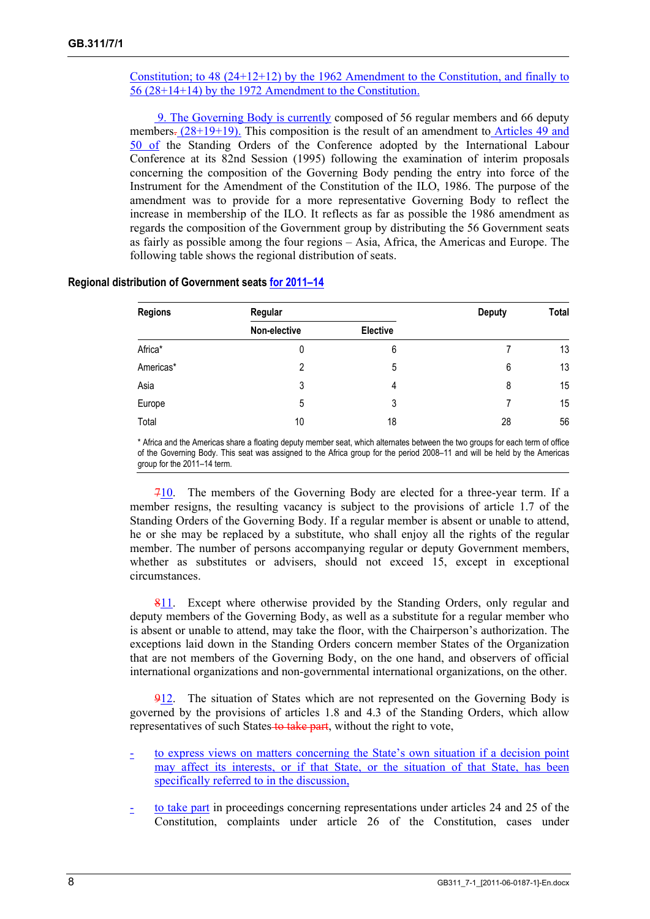Constitution; to 48 (24+12+12) by the 1962 Amendment to the Constitution, and finally to 56 (28+14+14) by the 1972 Amendment to the Constitution.

 9. The Governing Body is currently composed of 56 regular members and 66 deputy members.  $(28+19+19)$ . This composition is the result of an amendment to Articles 49 and 50 of the Standing Orders of the Conference adopted by the International Labour Conference at its 82nd Session (1995) following the examination of interim proposals concerning the composition of the Governing Body pending the entry into force of the Instrument for the Amendment of the Constitution of the ILO, 1986. The purpose of the amendment was to provide for a more representative Governing Body to reflect the increase in membership of the ILO. It reflects as far as possible the 1986 amendment as regards the composition of the Government group by distributing the 56 Government seats as fairly as possible among the four regions – Asia, Africa, the Americas and Europe. The following table shows the regional distribution of seats.

| <b>Regions</b> | Regular      |          | <b>Deputy</b> | Total |
|----------------|--------------|----------|---------------|-------|
|                | Non-elective | Elective |               |       |
| Africa*        | 0            | 6        |               | 13    |
| Americas*      | 2            | 5        | 6             | 13    |
| Asia           | 3            | 4        | 8             | 15    |
| Europe         | 5            | 3        |               | 15    |
| Total          | 10           | 18       | 28            | 56    |

#### **Regional distribution of Government seats for 2011–14**

\* Africa and the Americas share a floating deputy member seat, which alternates between the two groups for each term of office of the Governing Body. This seat was assigned to the Africa group for the period 2008–11 and will be held by the Americas group for the 2011–14 term.

710. The members of the Governing Body are elected for a three-year term. If a member resigns, the resulting vacancy is subject to the provisions of article 1.7 of the Standing Orders of the Governing Body. If a regular member is absent or unable to attend, he or she may be replaced by a substitute, who shall enjoy all the rights of the regular member. The number of persons accompanying regular or deputy Government members, whether as substitutes or advisers, should not exceed 15, except in exceptional circumstances.

811. Except where otherwise provided by the Standing Orders, only regular and deputy members of the Governing Body, as well as a substitute for a regular member who is absent or unable to attend, may take the floor, with the Chairperson's authorization. The exceptions laid down in the Standing Orders concern member States of the Organization that are not members of the Governing Body, on the one hand, and observers of official international organizations and non-governmental international organizations, on the other.

912. The situation of States which are not represented on the Governing Body is governed by the provisions of articles 1.8 and 4.3 of the Standing Orders, which allow representatives of such States to take part, without the right to vote,

- to express views on matters concerning the State's own situation if a decision point may affect its interests, or if that State, or the situation of that State, has been specifically referred to in the discussion,
- to take part in proceedings concerning representations under articles 24 and 25 of the Constitution, complaints under article 26 of the Constitution, cases under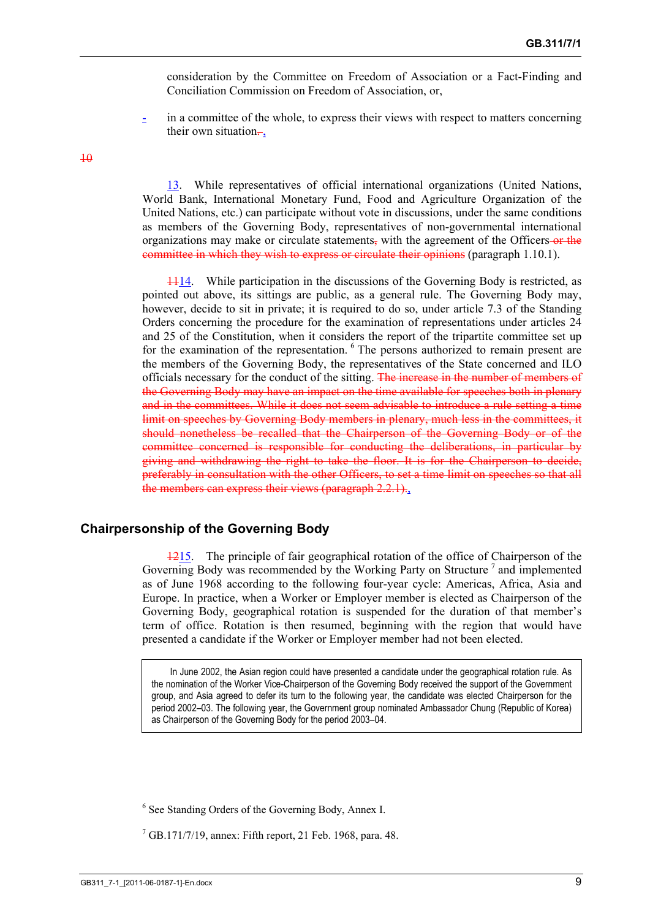consideration by the Committee on Freedom of Association or a Fact-Finding and Conciliation Commission on Freedom of Association, or,

in a committee of the whole, to express their views with respect to matters concerning their own situation $\frac{1}{x}$ .

 $\overline{10}$ 

13. While representatives of official international organizations (United Nations, World Bank, International Monetary Fund, Food and Agriculture Organization of the United Nations, etc.) can participate without vote in discussions, under the same conditions as members of the Governing Body, representatives of non-governmental international organizations may make or circulate statements, with the agreement of the Officers or the committee in which they wish to express or circulate their opinions (paragraph 1.10.1).

1114. While participation in the discussions of the Governing Body is restricted, as pointed out above, its sittings are public, as a general rule. The Governing Body may, however, decide to sit in private; it is required to do so, under article 7.3 of the Standing Orders concerning the procedure for the examination of representations under articles 24 and 25 of the Constitution, when it considers the report of the tripartite committee set up for the examination of the representation. <sup>6</sup> The persons authorized to remain present are the members of the Governing Body, the representatives of the State concerned and ILO officials necessary for the conduct of the sitting. The increase in the number of members of the Governing Body may have an impact on the time available for speeches both in plenary and in the committees. While it does not seem advisable to introduce a rule setting a time limit on speeches by Governing Body members in plenary, much less in the committees, it should nonetheless be recalled that the Chairperson of the Governing Body or of the committee concerned is responsible for conducting the deliberations, in particular by giving and withdrawing the right to take the floor. It is for the Chairperson to decide, preferably in consultation with the other Officers, to set a time limit on speeches so that all the members can express their views (paragraph 2.2.1).

#### **Chairpersonship of the Governing Body**

1215. The principle of fair geographical rotation of the office of Chairperson of the Governing Body was recommended by the Working Party on Structure<sup>7</sup> and implemented as of June 1968 according to the following four-year cycle: Americas, Africa, Asia and Europe. In practice, when a Worker or Employer member is elected as Chairperson of the Governing Body, geographical rotation is suspended for the duration of that member's term of office. Rotation is then resumed, beginning with the region that would have presented a candidate if the Worker or Employer member had not been elected.

In June 2002, the Asian region could have presented a candidate under the geographical rotation rule. As the nomination of the Worker Vice-Chairperson of the Governing Body received the support of the Government group, and Asia agreed to defer its turn to the following year, the candidate was elected Chairperson for the period 2002–03. The following year, the Government group nominated Ambassador Chung (Republic of Korea) as Chairperson of the Governing Body for the period 2003–04.

6 See Standing Orders of the Governing Body, Annex I.

 $7$  GB.171/7/19, annex: Fifth report, 21 Feb. 1968, para. 48.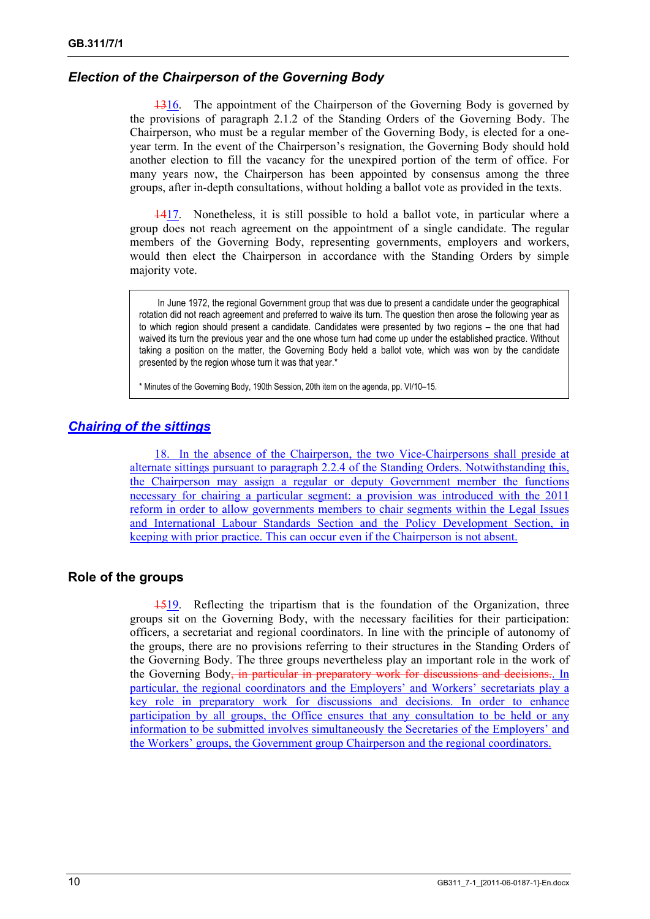# *Election of the Chairperson of the Governing Body*

1316. The appointment of the Chairperson of the Governing Body is governed by the provisions of paragraph 2.1.2 of the Standing Orders of the Governing Body. The Chairperson, who must be a regular member of the Governing Body, is elected for a oneyear term. In the event of the Chairperson's resignation, the Governing Body should hold another election to fill the vacancy for the unexpired portion of the term of office. For many years now, the Chairperson has been appointed by consensus among the three groups, after in-depth consultations, without holding a ballot vote as provided in the texts.

1417. Nonetheless, it is still possible to hold a ballot vote, in particular where a group does not reach agreement on the appointment of a single candidate. The regular members of the Governing Body, representing governments, employers and workers, would then elect the Chairperson in accordance with the Standing Orders by simple majority vote.

In June 1972, the regional Government group that was due to present a candidate under the geographical rotation did not reach agreement and preferred to waive its turn. The question then arose the following year as to which region should present a candidate. Candidates were presented by two regions – the one that had waived its turn the previous year and the one whose turn had come up under the established practice. Without taking a position on the matter, the Governing Body held a ballot vote, which was won by the candidate presented by the region whose turn it was that year.\*

\* Minutes of the Governing Body, 190th Session, 20th item on the agenda, pp. VI/10–15.

# *Chairing of the sittings*

18. In the absence of the Chairperson, the two Vice-Chairpersons shall preside at alternate sittings pursuant to paragraph 2.2.4 of the Standing Orders. Notwithstanding this, the Chairperson may assign a regular or deputy Government member the functions necessary for chairing a particular segment: a provision was introduced with the 2011 reform in order to allow governments members to chair segments within the Legal Issues and International Labour Standards Section and the Policy Development Section, in keeping with prior practice. This can occur even if the Chairperson is not absent.

# **Role of the groups**

1519. Reflecting the tripartism that is the foundation of the Organization, three groups sit on the Governing Body, with the necessary facilities for their participation: officers, a secretariat and regional coordinators. In line with the principle of autonomy of the groups, there are no provisions referring to their structures in the Standing Orders of the Governing Body. The three groups nevertheless play an important role in the work of the Governing Body, in particular in preparatory work for discussions and decisions. In particular, the regional coordinators and the Employers' and Workers' secretariats play a key role in preparatory work for discussions and decisions. In order to enhance participation by all groups, the Office ensures that any consultation to be held or any information to be submitted involves simultaneously the Secretaries of the Employers' and the Workers' groups, the Government group Chairperson and the regional coordinators.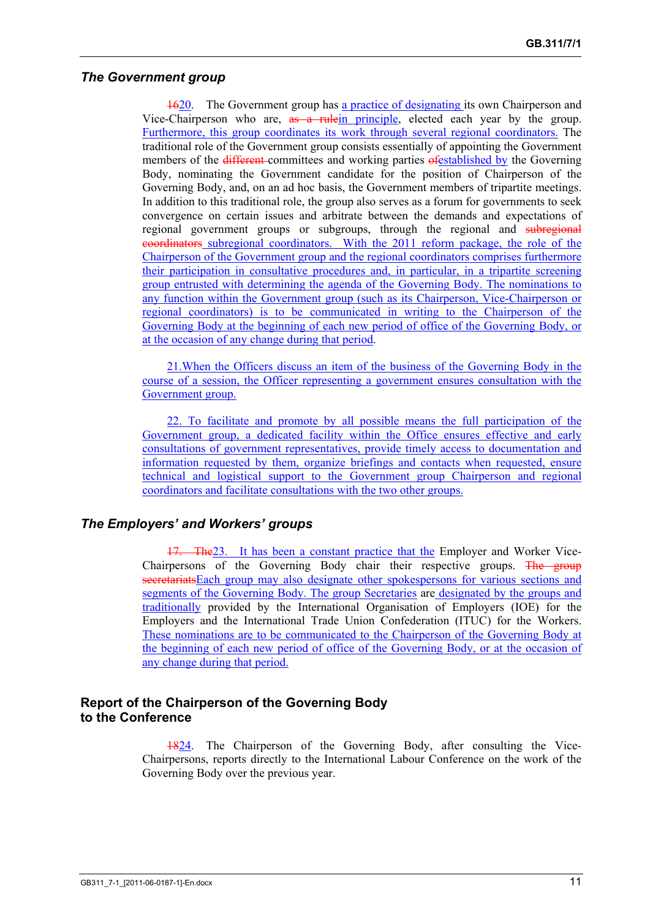#### *The Government group*

1620. The Government group has a practice of designating its own Chairperson and Vice-Chairperson who are, as a rulein principle, elected each year by the group. Furthermore, this group coordinates its work through several regional coordinators. The traditional role of the Government group consists essentially of appointing the Government members of the *different*-committees and working parties  $\theta$ festablished by the Governing Body, nominating the Government candidate for the position of Chairperson of the Governing Body, and, on an ad hoc basis, the Government members of tripartite meetings. In addition to this traditional role, the group also serves as a forum for governments to seek convergence on certain issues and arbitrate between the demands and expectations of regional government groups or subgroups, through the regional and subregional coordinators subregional coordinators. With the 2011 reform package, the role of the Chairperson of the Government group and the regional coordinators comprises furthermore their participation in consultative procedures and, in particular, in a tripartite screening group entrusted with determining the agenda of the Governing Body. The nominations to any function within the Government group (such as its Chairperson, Vice-Chairperson or regional coordinators) is to be communicated in writing to the Chairperson of the Governing Body at the beginning of each new period of office of the Governing Body, or at the occasion of any change during that period.

21.When the Officers discuss an item of the business of the Governing Body in the course of a session, the Officer representing a government ensures consultation with the Government group.

22. To facilitate and promote by all possible means the full participation of the Government group, a dedicated facility within the Office ensures effective and early consultations of government representatives, provide timely access to documentation and information requested by them, organize briefings and contacts when requested, ensure technical and logistical support to the Government group Chairperson and regional coordinators and facilitate consultations with the two other groups.

# *The Employers' and Workers' groups*

The<sub>23.</sub> It has been a constant practice that the Employer and Worker Vice-Chairpersons of the Governing Body chair their respective groups. The group secretariatsEach group may also designate other spokespersons for various sections and segments of the Governing Body. The group Secretaries are designated by the groups and traditionally provided by the International Organisation of Employers (IOE) for the Employers and the International Trade Union Confederation (ITUC) for the Workers. These nominations are to be communicated to the Chairperson of the Governing Body at the beginning of each new period of office of the Governing Body, or at the occasion of any change during that period.

# **Report of the Chairperson of the Governing Body to the Conference**

1824. The Chairperson of the Governing Body, after consulting the Vice-Chairpersons, reports directly to the International Labour Conference on the work of the Governing Body over the previous year.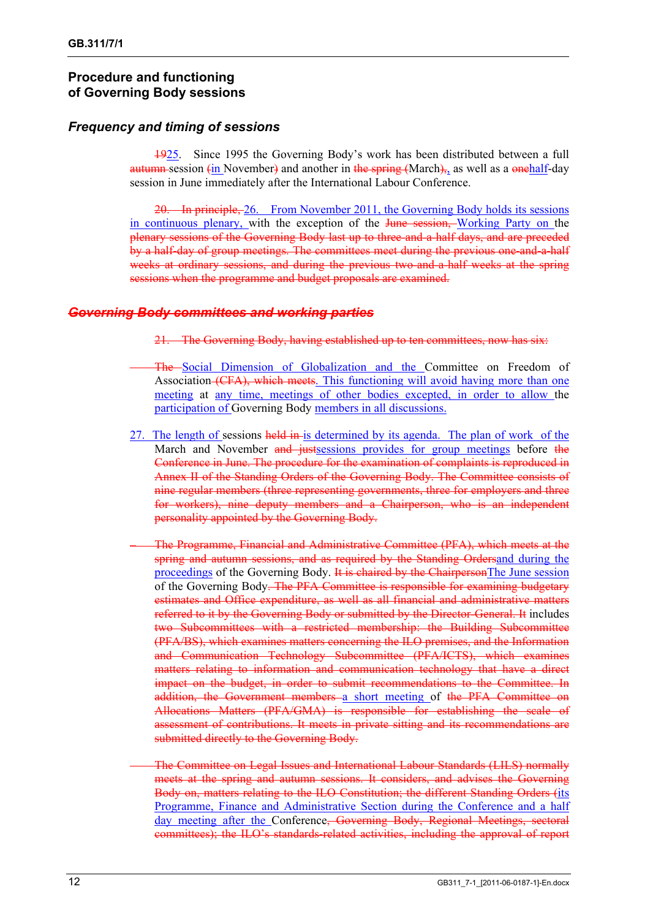# **Procedure and functioning of Governing Body sessions**

# *Frequency and timing of sessions*

1925. Since 1995 the Governing Body's work has been distributed between a full autumn session  $\sin$  November) and another in the spring (March), as well as a onehalf-day session in June immediately after the International Labour Conference.

20. In principle, 26. From November 2011, the Governing Body holds its sessions in continuous plenary, with the exception of the June session, Working Party on the plenary sessions of the Governing Body last up to three-and-a-half days, and are preceded by a half-day of group meetings. The committees meet during the previous one-and-a-half weeks at ordinary sessions, and during the previous two-and-a-half weeks at the spring sessions when the programme and budget proposals are examined.

# *Governing Body committees and working parties*

- 21. The Governing Body, having established up to ten committees, now has six:
- The Social Dimension of Globalization and the Committee on Freedom of Association (CFA), which meets. This functioning will avoid having more than one meeting at any time, meetings of other bodies excepted, in order to allow the participation of Governing Body members in all discussions.
- 27. The length of sessions held in is determined by its agenda. The plan of work of the March and November and justsessions provides for group meetings before the Conference in June. The procedure for the examination of complaints is reproduced in Annex II of the Standing Orders of the Governing Body. The Committee consists of nine regular members (three representing governments, three for employers and three for workers), nine deputy members and a Chairperson, who is an independent personality appointed by the Governing Body.
	- The Programme, Financial and Administrative Committee (PFA), which meets at the spring and autumn sessions, and as required by the Standing Ordersand during the proceedings of the Governing Body. It is chaired by the ChairpersonThe June session of the Governing Body. The PFA Committee is responsible for examining budgetary estimates and Office expenditure, as well as all financial and administrative matters referred to it by the Governing Body or submitted by the Director-General. It includes two Subcommittees with a restricted membership: the Building Subcommittee (PFA/BS), which examines matters concerning the ILO premises, and the Information and Communication Technology Subcommittee (PFA/ICTS), which examines matters relating to information and communication technology that have a direct impact on the budget, in order to submit recommendations to the Committee. In addition, the Government members a short meeting of the PFA Committee on Allocations Matters (PFA/GMA) is responsible for establishing the scale of assessment of contributions. It meets in private sitting and its recommendations are submitted directly to the Governing Body.
	- The Committee on Legal Issues and International Labour Standards (LILS) normally meets at the spring and autumn sessions. It considers, and advises the Governing Body on, matters relating to the ILO Constitution; the different Standing Orders (its Programme, Finance and Administrative Section during the Conference and a half day meeting after the Conference, Governing Body, Regional Meetings, sectoral committees); the ILO's standards-related activities, including the approval of report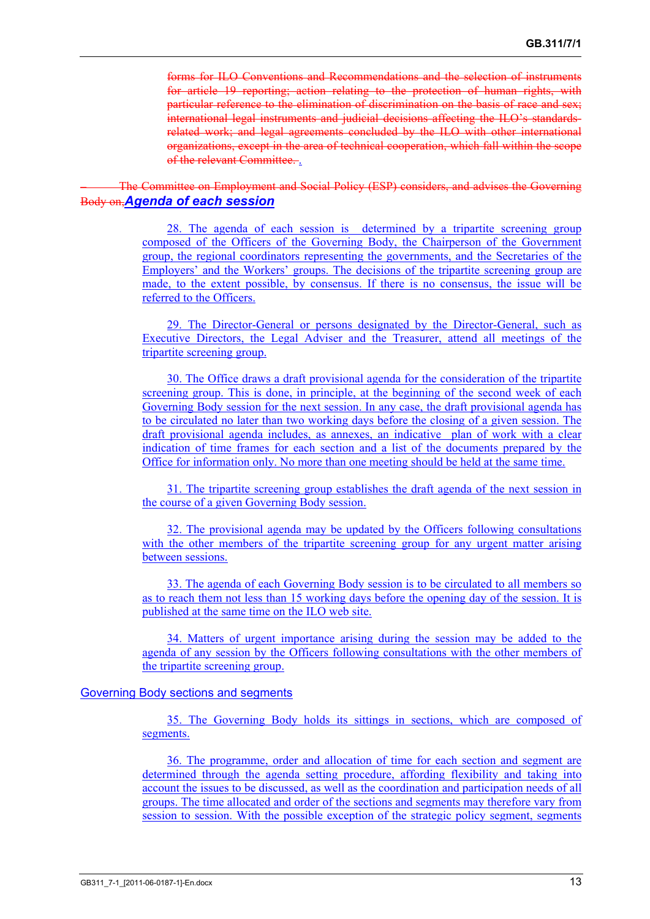forms for ILO Conventions and Recommendations and the selection of instruments for article 19 reporting; action relating to the protection of human rights, with particular reference to the elimination of discrimination on the basis of race and sex; international legal instruments and judicial decisions affecting the ILO's standardsrelated work; and legal agreements concluded by the ILO with other international organizations, except in the area of technical cooperation, which fall within the scope of the relevant Committee. .

– The Committee on Employment and Social Policy (ESP) considers, and advises the Governing Body on,*Agenda of each session*

> 28. The agenda of each session is determined by a tripartite screening group composed of the Officers of the Governing Body, the Chairperson of the Government group, the regional coordinators representing the governments, and the Secretaries of the Employers' and the Workers' groups. The decisions of the tripartite screening group are made, to the extent possible, by consensus. If there is no consensus, the issue will be referred to the Officers.

> 29. The Director-General or persons designated by the Director-General, such as Executive Directors, the Legal Adviser and the Treasurer, attend all meetings of the tripartite screening group.

> 30. The Office draws a draft provisional agenda for the consideration of the tripartite screening group. This is done, in principle, at the beginning of the second week of each Governing Body session for the next session. In any case, the draft provisional agenda has to be circulated no later than two working days before the closing of a given session. The draft provisional agenda includes, as annexes, an indicative plan of work with a clear indication of time frames for each section and a list of the documents prepared by the Office for information only. No more than one meeting should be held at the same time.

> 31. The tripartite screening group establishes the draft agenda of the next session in the course of a given Governing Body session.

> 32. The provisional agenda may be updated by the Officers following consultations with the other members of the tripartite screening group for any urgent matter arising between sessions.

> 33. The agenda of each Governing Body session is to be circulated to all members so as to reach them not less than 15 working days before the opening day of the session. It is published at the same time on the ILO web site.

> 34. Matters of urgent importance arising during the session may be added to the agenda of any session by the Officers following consultations with the other members of the tripartite screening group.

#### Governing Body sections and segments

35. The Governing Body holds its sittings in sections, which are composed of segments.

36. The programme, order and allocation of time for each section and segment are determined through the agenda setting procedure, affording flexibility and taking into account the issues to be discussed, as well as the coordination and participation needs of all groups. The time allocated and order of the sections and segments may therefore vary from session to session. With the possible exception of the strategic policy segment, segments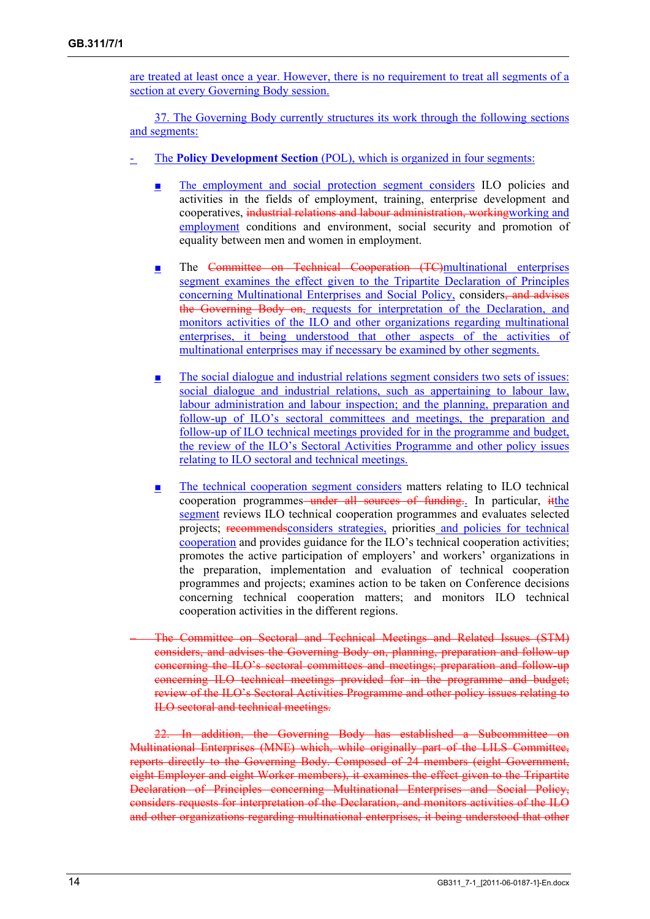are treated at least once a year. However, there is no requirement to treat all segments of a section at every Governing Body session.

37. The Governing Body currently structures its work through the following sections and segments:

- The **Policy Development Section** (POL), which is organized in four segments:
	- The employment and social protection segment considers ILO policies and activities in the fields of employment, training, enterprise development and cooperatives, industrial relations and labour administration, working working and employment conditions and environment, social security and promotion of equality between men and women in employment.
	- The Committee on Technical Cooperation (TC)multinational enterprises segment examines the effect given to the Tripartite Declaration of Principles concerning Multinational Enterprises and Social Policy, considers<del>, and advises</del> the Governing Body on, requests for interpretation of the Declaration, and monitors activities of the ILO and other organizations regarding multinational enterprises, it being understood that other aspects of the activities of multinational enterprises may if necessary be examined by other segments.
	- The social dialogue and industrial relations segment considers two sets of issues: social dialogue and industrial relations, such as appertaining to labour law. labour administration and labour inspection; and the planning, preparation and follow-up of ILO's sectoral committees and meetings, the preparation and follow-up of ILO technical meetings provided for in the programme and budget, the review of the ILO's Sectoral Activities Programme and other policy issues relating to ILO sectoral and technical meetings.
	- The technical cooperation segment considers matters relating to ILO technical cooperation programmes–under all sources of funding. In particular, it the segment reviews ILO technical cooperation programmes and evaluates selected projects; recommendsconsiders strategies, priorities and policies for technical cooperation and provides guidance for the ILO's technical cooperation activities; promotes the active participation of employers' and workers' organizations in the preparation, implementation and evaluation of technical cooperation programmes and projects; examines action to be taken on Conference decisions concerning technical cooperation matters; and monitors ILO technical cooperation activities in the different regions.

– The Committee on Sectoral and Technical Meetings and Related Issues (STM) considers, and advises the Governing Body on, planning, preparation and follow-up concerning the ILO's sectoral committees and meetings; preparation and follow-up concerning ILO technical meetings provided for in the programme and budget; review of the ILO's Sectoral Activities Programme and other policy issues relating to ILO sectoral and technical meetings.

22. In addition, the Governing Body has established a Subcommittee on Multinational Enterprises (MNE) which, while originally part of the LILS Committee, reports directly to the Governing Body. Composed of 24 members (eight Government, eight Employer and eight Worker members), it examines the effect given to the Tripartite Declaration of Principles concerning Multinational Enterprises and Social Policy, considers requests for interpretation of the Declaration, and monitors activities of the ILO and other organizations regarding multinational enterprises, it being understood that other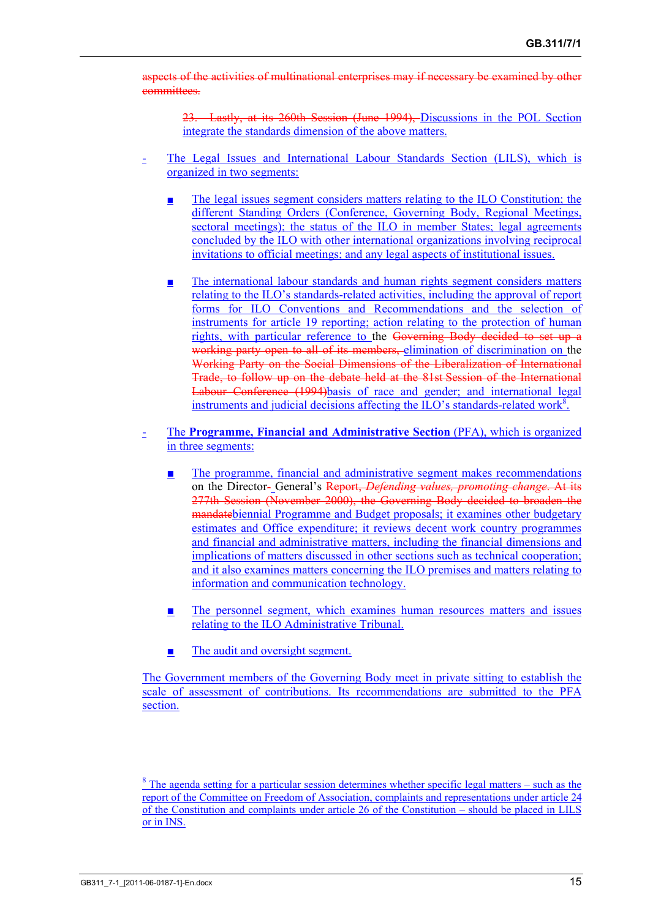aspects of the activities of multinational enterprises may if necessary be examined by other committees.

23. Lastly, at its 260th Session (June 1994), Discussions in the POL Section integrate the standards dimension of the above matters.

- The Legal Issues and International Labour Standards Section (LILS), which is organized in two segments:
	- The legal issues segment considers matters relating to the ILO Constitution; the different Standing Orders (Conference, Governing Body, Regional Meetings, sectoral meetings); the status of the ILO in member States; legal agreements concluded by the ILO with other international organizations involving reciprocal invitations to official meetings; and any legal aspects of institutional issues.
	- The international labour standards and human rights segment considers matters relating to the ILO's standards-related activities, including the approval of report forms for ILO Conventions and Recommendations and the selection of instruments for article 19 reporting; action relating to the protection of human rights, with particular reference to the Governing Body decided to set up a working party open to all of its members, elimination of discrimination on the Working Party on the Social Dimensions of the Liberalization of International Trade, to follow up on the debate held at the 81st Session of the International Labour Conference (1994)basis of race and gender; and international legal instruments and judicial decisions affecting the ILO's standards-related work<sup>8</sup>.
- The **Programme, Financial and Administrative Section** (PFA), which is organized in three segments:
	- The programme, financial and administrative segment makes recommendations on the Director- General's Report, *Defending values, promoting change*. At its 277th Session (November 2000), the Governing Body decided to broaden the mandatebiennial Programme and Budget proposals; it examines other budgetary estimates and Office expenditure; it reviews decent work country programmes and financial and administrative matters, including the financial dimensions and implications of matters discussed in other sections such as technical cooperation; and it also examines matters concerning the ILO premises and matters relating to information and communication technology.
	- The personnel segment, which examines human resources matters and issues relating to the ILO Administrative Tribunal.
	- The audit and oversight segment.

The Government members of the Governing Body meet in private sitting to establish the scale of assessment of contributions. Its recommendations are submitted to the PFA section.

<sup>&</sup>lt;sup>8</sup> The agenda setting for a particular session determines whether specific legal matters – such as the report of the Committee on Freedom of Association, complaints and representations under article 24 of the Constitution and complaints under article 26 of the Constitution – should be placed in LILS or in INS.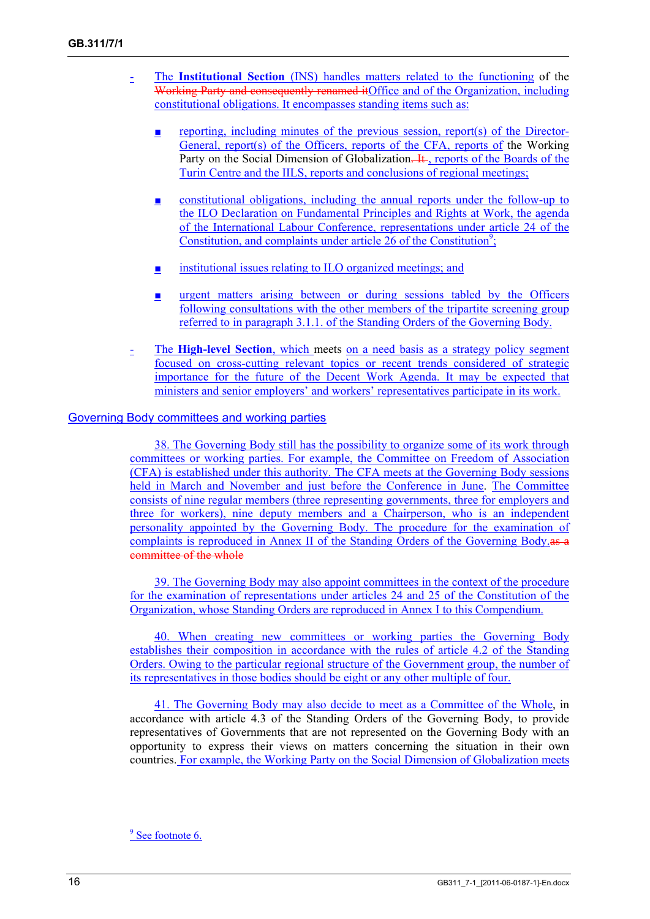- The **Institutional Section** (INS) handles matters related to the functioning of the Working Party and consequently renamed itOffice and of the Organization, including constitutional obligations. It encompasses standing items such as:
	- **<u>E</u>** reporting, including minutes of the previous session, report(s) of the Director-General, report(s) of the Officers, reports of the CFA, reports of the Working Party on the Social Dimension of Globalization. It, reports of the Boards of the Turin Centre and the IILS, reports and conclusions of regional meetings;
	- constitutional obligations, including the annual reports under the follow-up to the ILO Declaration on Fundamental Principles and Rights at Work, the agenda of the International Labour Conference, representations under article 24 of the Constitution, and complaints under article  $26$  of the Constitution<sup>9</sup>;
	- institutional issues relating to ILO organized meetings; and
	- **<u>■</u>** urgent matters arising between or during sessions tabled by the Officers following consultations with the other members of the tripartite screening group referred to in paragraph 3.1.1. of the Standing Orders of the Governing Body.
- The **High-level Section**, which meets on a need basis as a strategy policy segment focused on cross-cutting relevant topics or recent trends considered of strategic importance for the future of the Decent Work Agenda. It may be expected that ministers and senior employers' and workers' representatives participate in its work.

#### Governing Body committees and working parties

38. The Governing Body still has the possibility to organize some of its work through committees or working parties. For example, the Committee on Freedom of Association (CFA) is established under this authority. The CFA meets at the Governing Body sessions held in March and November and just before the Conference in June. The Committee consists of nine regular members (three representing governments, three for employers and three for workers), nine deputy members and a Chairperson, who is an independent personality appointed by the Governing Body. The procedure for the examination of complaints is reproduced in Annex II of the Standing Orders of the Governing Body as a committee of the whole

39. The Governing Body may also appoint committees in the context of the procedure for the examination of representations under articles 24 and 25 of the Constitution of the Organization, whose Standing Orders are reproduced in Annex I to this Compendium.

40. When creating new committees or working parties the Governing Body establishes their composition in accordance with the rules of article 4.2 of the Standing Orders. Owing to the particular regional structure of the Government group, the number of its representatives in those bodies should be eight or any other multiple of four.

41. The Governing Body may also decide to meet as a Committee of the Whole, in accordance with article 4.3 of the Standing Orders of the Governing Body, to provide representatives of Governments that are not represented on the Governing Body with an opportunity to express their views on matters concerning the situation in their own countries. For example, the Working Party on the Social Dimension of Globalization meets

<sup>9</sup> See footnote 6.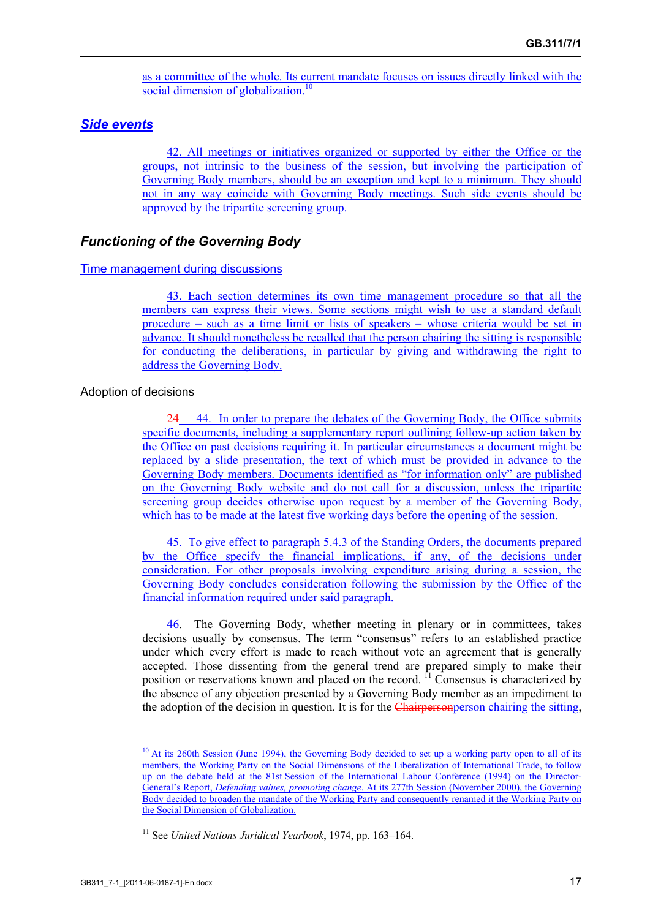as a committee of the whole. Its current mandate focuses on issues directly linked with the social dimension of globalization.<sup>10</sup>

#### *Side events*

42. All meetings or initiatives organized or supported by either the Office or the groups, not intrinsic to the business of the session, but involving the participation of Governing Body members, should be an exception and kept to a minimum. They should not in any way coincide with Governing Body meetings. Such side events should be approved by the tripartite screening group.

#### *Functioning of the Governing Body*

#### Time management during discussions

43. Each section determines its own time management procedure so that all the members can express their views. Some sections might wish to use a standard default procedure – such as a time limit or lists of speakers – whose criteria would be set in advance. It should nonetheless be recalled that the person chairing the sitting is responsible for conducting the deliberations, in particular by giving and withdrawing the right to address the Governing Body.

#### Adoption of decisions

24 44. In order to prepare the debates of the Governing Body, the Office submits specific documents, including a supplementary report outlining follow-up action taken by the Office on past decisions requiring it. In particular circumstances a document might be replaced by a slide presentation, the text of which must be provided in advance to the Governing Body members. Documents identified as "for information only" are published on the Governing Body website and do not call for a discussion, unless the tripartite screening group decides otherwise upon request by a member of the Governing Body, which has to be made at the latest five working days before the opening of the session.

45. To give effect to paragraph 5.4.3 of the Standing Orders, the documents prepared by the Office specify the financial implications, if any, of the decisions under consideration. For other proposals involving expenditure arising during a session, the Governing Body concludes consideration following the submission by the Office of the financial information required under said paragraph.

46. The Governing Body, whether meeting in plenary or in committees, takes decisions usually by consensus. The term "consensus" refers to an established practice under which every effort is made to reach without vote an agreement that is generally accepted. Those dissenting from the general trend are prepared simply to make their position or reservations known and placed on the record. 11 Consensus is characterized by the absence of any objection presented by a Governing Body member as an impediment to the adoption of the decision in question. It is for the Chairperson chairing the sitting,

 $10$  At its 260th Session (June 1994), the Governing Body decided to set up a working party open to all of its members, the Working Party on the Social Dimensions of the Liberalization of International Trade, to follow up on the debate held at the 81st Session of the International Labour Conference (1994) on the Director-General's Report, *Defending values, promoting change*. At its 277th Session (November 2000), the Governing Body decided to broaden the mandate of the Working Party and consequently renamed it the Working Party on the Social Dimension of Globalization.

<sup>11</sup> See *United Nations Juridical Yearbook*, 1974, pp. 163–164.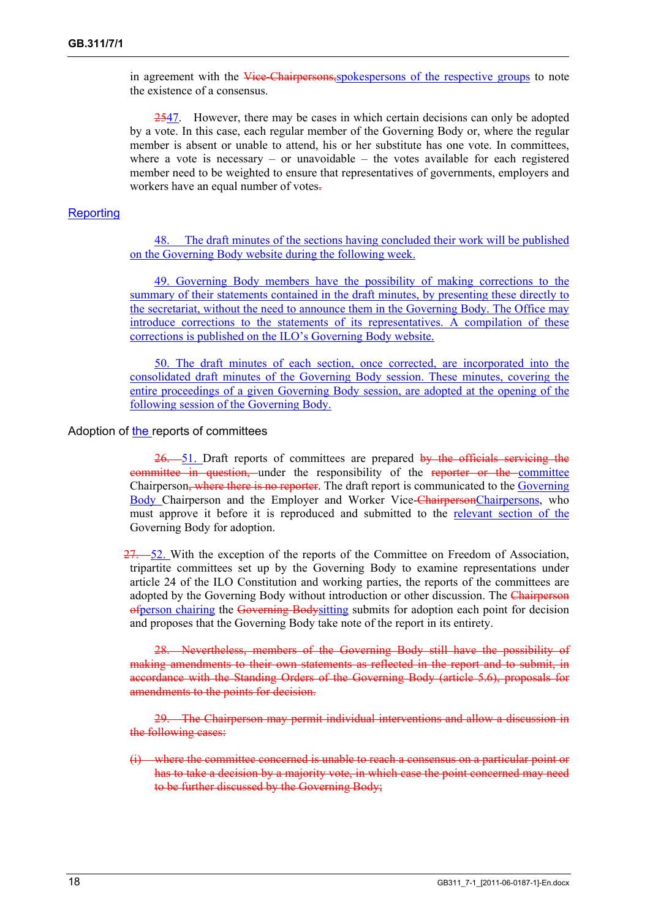in agreement with the Vice-Chairpersons, spokespersons of the respective groups to note the existence of a consensus.

2547. However, there may be cases in which certain decisions can only be adopted by a vote. In this case, each regular member of the Governing Body or, where the regular member is absent or unable to attend, his or her substitute has one vote. In committees, where a vote is necessary  $-$  or unavoidable  $-$  the votes available for each registered member need to be weighted to ensure that representatives of governments, employers and workers have an equal number of votes-

#### **Reporting**

48. The draft minutes of the sections having concluded their work will be published on the Governing Body website during the following week.

49. Governing Body members have the possibility of making corrections to the summary of their statements contained in the draft minutes, by presenting these directly to the secretariat, without the need to announce them in the Governing Body. The Office may introduce corrections to the statements of its representatives. A compilation of these corrections is published on the ILO's Governing Body website.

50. The draft minutes of each section, once corrected, are incorporated into the consolidated draft minutes of the Governing Body session. These minutes, covering the entire proceedings of a given Governing Body session, are adopted at the opening of the following session of the Governing Body.

Adoption of the reports of committees

26. 51. Draft reports of committees are prepared by the officials servicing the committee in question, under the responsibility of the reporter or the committee Chairperson, where there is no reporter. The draft report is communicated to the Governing Body Chairperson and the Employer and Worker Vice-ChairpersonChairpersons, who must approve it before it is reproduced and submitted to the relevant section of the Governing Body for adoption.

27. 52. With the exception of the reports of the Committee on Freedom of Association, tripartite committees set up by the Governing Body to examine representations under article 24 of the ILO Constitution and working parties, the reports of the committees are adopted by the Governing Body without introduction or other discussion. The Chairperson ofperson chairing the Governing Bodysitting submits for adoption each point for decision and proposes that the Governing Body take note of the report in its entirety.

Nevertheless, members of the Governing Body still have the possibility of making amendments to their own statements as reflected in the report and to submit, in accordance with the Standing Orders of the Governing Body (article 5.6), proposals for amendments to the points for decision.

29. The Chairperson may permit individual interventions and allow a discussion in the following cases:

(i) where the committee concerned is unable to reach a consensus on a particular point or has to take a decision by a majority vote, in which case the point concerned may need to be further discussed by the Governing Body;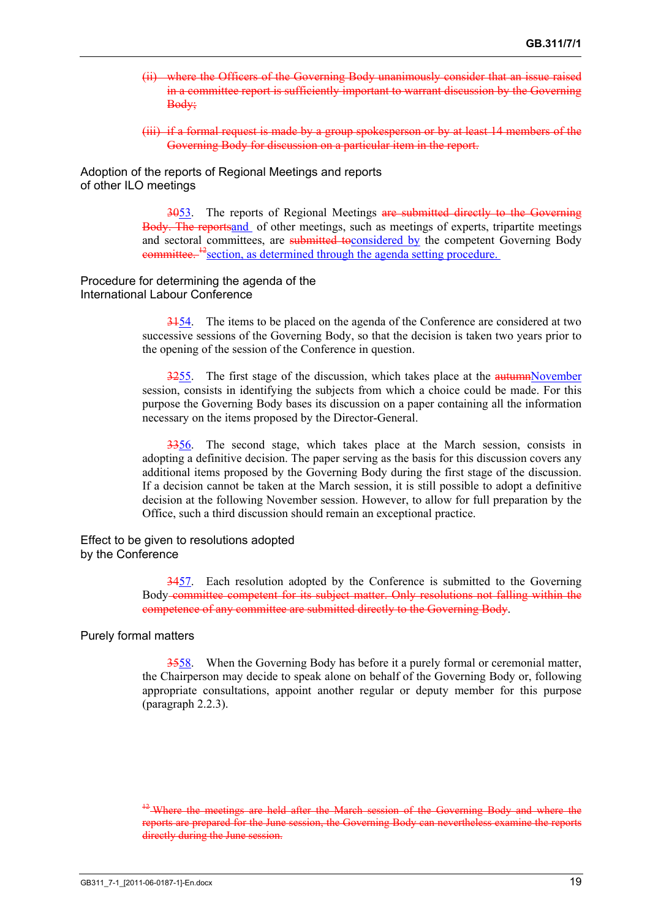- (ii) where the Officers of the Governing Body unanimously consider that an issue raised in a committee report is sufficiently important to warrant discussion by the Governing Body;
- (iii) if a formal request is made by a group spokesperson or by at least 14 members of the Governing Body for discussion on a particular item in the report.

Adoption of the reports of Regional Meetings and reports of other ILO meetings

> 3053. The reports of Regional Meetings are submitted directly to the Governing Body. The reportsand of other meetings, such as meetings of experts, tripartite meetings and sectoral committees, are submitted to considered by the competent Governing Body eommittee.<sup>12</sup> section, as determined through the agenda setting procedure.

Procedure for determining the agenda of the International Labour Conference

> 3154. The items to be placed on the agenda of the Conference are considered at two successive sessions of the Governing Body, so that the decision is taken two years prior to the opening of the session of the Conference in question.

> $3255$ . The first stage of the discussion, which takes place at the  $\frac{5255}{1000}$ . session, consists in identifying the subjects from which a choice could be made. For this purpose the Governing Body bases its discussion on a paper containing all the information necessary on the items proposed by the Director-General.

> 3356. The second stage, which takes place at the March session, consists in adopting a definitive decision. The paper serving as the basis for this discussion covers any additional items proposed by the Governing Body during the first stage of the discussion. If a decision cannot be taken at the March session, it is still possible to adopt a definitive decision at the following November session. However, to allow for full preparation by the Office, such a third discussion should remain an exceptional practice.

Effect to be given to resolutions adopted by the Conference

> 3457. Each resolution adopted by the Conference is submitted to the Governing Body committee competent for its subject matter. Only resolutions not falling within the competence of any committee are submitted directly to the Governing Body.

Purely formal matters

3558. When the Governing Body has before it a purely formal or ceremonial matter, the Chairperson may decide to speak alone on behalf of the Governing Body or, following appropriate consultations, appoint another regular or deputy member for this purpose (paragraph 2.2.3).

 $^{42}$ -Where the meetings are held after the March session of the Governing Body and where the reports are prepared for the June session, the Governing Body can nevertheless examine the reports directly during the June session.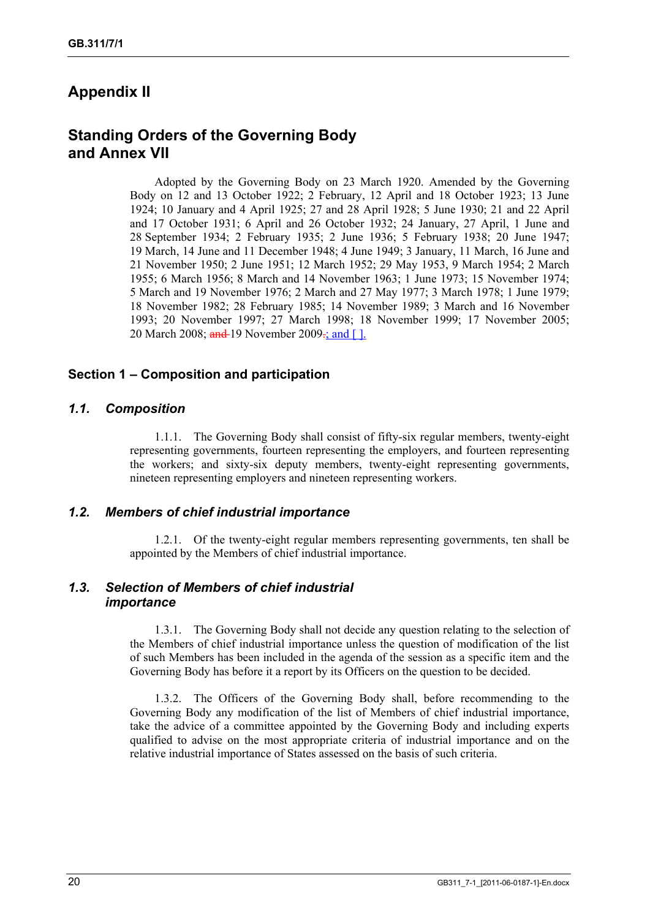# **Appendix II**

# **Standing Orders of the Governing Body and Annex VII**

Adopted by the Governing Body on 23 March 1920. Amended by the Governing Body on 12 and 13 October 1922; 2 February, 12 April and 18 October 1923; 13 June 1924; 10 January and 4 April 1925; 27 and 28 April 1928; 5 June 1930; 21 and 22 April and 17 October 1931; 6 April and 26 October 1932; 24 January, 27 April, 1 June and 28 September 1934; 2 February 1935; 2 June 1936; 5 February 1938; 20 June 1947; 19 March, 14 June and 11 December 1948; 4 June 1949; 3 January, 11 March, 16 June and 21 November 1950; 2 June 1951; 12 March 1952; 29 May 1953, 9 March 1954; 2 March 1955; 6 March 1956; 8 March and 14 November 1963; 1 June 1973; 15 November 1974; 5 March and 19 November 1976; 2 March and 27 May 1977; 3 March 1978; 1 June 1979; 18 November 1982; 28 February 1985; 14 November 1989; 3 March and 16 November 1993; 20 November 1997; 27 March 1998; 18 November 1999; 17 November 2005; 20 March 2008; and 19 November 2009-; and [].

### **Section 1 – Composition and participation**

### *1.1. Composition*

1.1.1. The Governing Body shall consist of fifty-six regular members, twenty-eight representing governments, fourteen representing the employers, and fourteen representing the workers; and sixty-six deputy members, twenty-eight representing governments, nineteen representing employers and nineteen representing workers.

#### *1.2. Members of chief industrial importance*

1.2.1. Of the twenty-eight regular members representing governments, ten shall be appointed by the Members of chief industrial importance.

# *1.3. Selection of Members of chief industrial importance*

1.3.1. The Governing Body shall not decide any question relating to the selection of the Members of chief industrial importance unless the question of modification of the list of such Members has been included in the agenda of the session as a specific item and the Governing Body has before it a report by its Officers on the question to be decided.

1.3.2. The Officers of the Governing Body shall, before recommending to the Governing Body any modification of the list of Members of chief industrial importance, take the advice of a committee appointed by the Governing Body and including experts qualified to advise on the most appropriate criteria of industrial importance and on the relative industrial importance of States assessed on the basis of such criteria.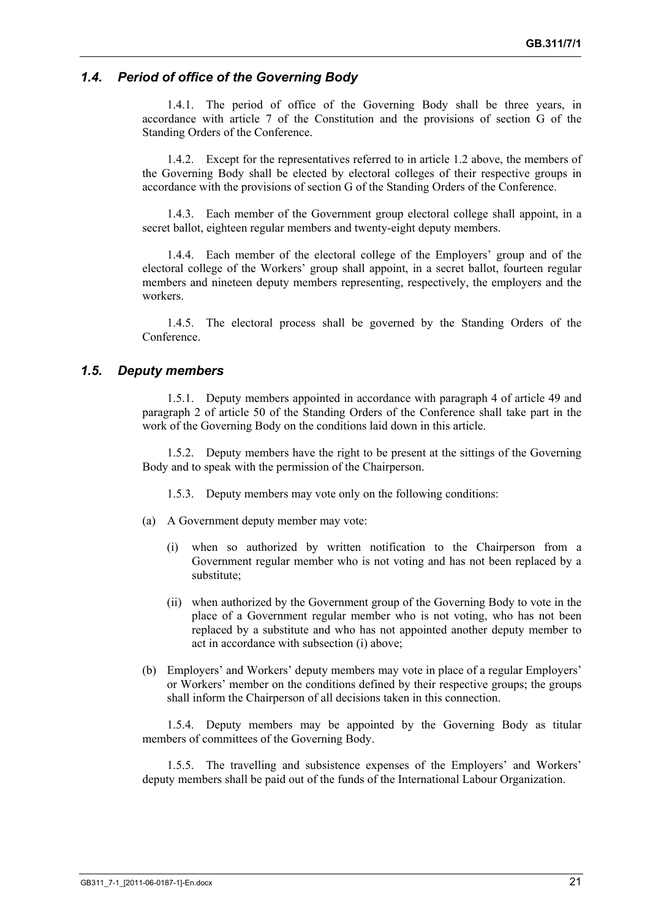# *1.4. Period of office of the Governing Body*

1.4.1. The period of office of the Governing Body shall be three years, in accordance with article 7 of the Constitution and the provisions of section G of the Standing Orders of the Conference.

1.4.2. Except for the representatives referred to in article 1.2 above, the members of the Governing Body shall be elected by electoral colleges of their respective groups in accordance with the provisions of section G of the Standing Orders of the Conference.

1.4.3. Each member of the Government group electoral college shall appoint, in a secret ballot, eighteen regular members and twenty-eight deputy members.

1.4.4. Each member of the electoral college of the Employers' group and of the electoral college of the Workers' group shall appoint, in a secret ballot, fourteen regular members and nineteen deputy members representing, respectively, the employers and the workers.

1.4.5. The electoral process shall be governed by the Standing Orders of the Conference.

### *1.5. Deputy members*

1.5.1. Deputy members appointed in accordance with paragraph 4 of article 49 and paragraph 2 of article 50 of the Standing Orders of the Conference shall take part in the work of the Governing Body on the conditions laid down in this article.

1.5.2. Deputy members have the right to be present at the sittings of the Governing Body and to speak with the permission of the Chairperson.

1.5.3. Deputy members may vote only on the following conditions:

- (a) A Government deputy member may vote:
	- (i) when so authorized by written notification to the Chairperson from a Government regular member who is not voting and has not been replaced by a substitute;
	- (ii) when authorized by the Government group of the Governing Body to vote in the place of a Government regular member who is not voting, who has not been replaced by a substitute and who has not appointed another deputy member to act in accordance with subsection (i) above;
- (b) Employers' and Workers' deputy members may vote in place of a regular Employers' or Workers' member on the conditions defined by their respective groups; the groups shall inform the Chairperson of all decisions taken in this connection.

1.5.4. Deputy members may be appointed by the Governing Body as titular members of committees of the Governing Body.

1.5.5. The travelling and subsistence expenses of the Employers' and Workers' deputy members shall be paid out of the funds of the International Labour Organization.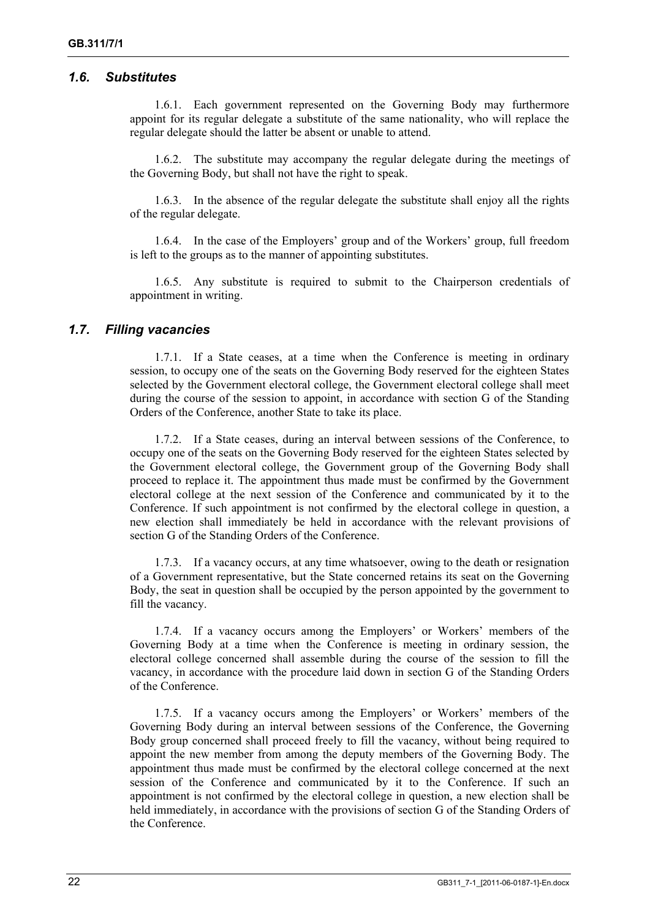#### *1.6. Substitutes*

1.6.1. Each government represented on the Governing Body may furthermore appoint for its regular delegate a substitute of the same nationality, who will replace the regular delegate should the latter be absent or unable to attend.

1.6.2. The substitute may accompany the regular delegate during the meetings of the Governing Body, but shall not have the right to speak.

1.6.3. In the absence of the regular delegate the substitute shall enjoy all the rights of the regular delegate.

1.6.4. In the case of the Employers' group and of the Workers' group, full freedom is left to the groups as to the manner of appointing substitutes.

1.6.5. Any substitute is required to submit to the Chairperson credentials of appointment in writing.

#### *1.7. Filling vacancies*

1.7.1. If a State ceases, at a time when the Conference is meeting in ordinary session, to occupy one of the seats on the Governing Body reserved for the eighteen States selected by the Government electoral college, the Government electoral college shall meet during the course of the session to appoint, in accordance with section G of the Standing Orders of the Conference, another State to take its place.

1.7.2. If a State ceases, during an interval between sessions of the Conference, to occupy one of the seats on the Governing Body reserved for the eighteen States selected by the Government electoral college, the Government group of the Governing Body shall proceed to replace it. The appointment thus made must be confirmed by the Government electoral college at the next session of the Conference and communicated by it to the Conference. If such appointment is not confirmed by the electoral college in question, a new election shall immediately be held in accordance with the relevant provisions of section G of the Standing Orders of the Conference.

1.7.3. If a vacancy occurs, at any time whatsoever, owing to the death or resignation of a Government representative, but the State concerned retains its seat on the Governing Body, the seat in question shall be occupied by the person appointed by the government to fill the vacancy.

1.7.4. If a vacancy occurs among the Employers' or Workers' members of the Governing Body at a time when the Conference is meeting in ordinary session, the electoral college concerned shall assemble during the course of the session to fill the vacancy, in accordance with the procedure laid down in section G of the Standing Orders of the Conference.

1.7.5. If a vacancy occurs among the Employers' or Workers' members of the Governing Body during an interval between sessions of the Conference, the Governing Body group concerned shall proceed freely to fill the vacancy, without being required to appoint the new member from among the deputy members of the Governing Body. The appointment thus made must be confirmed by the electoral college concerned at the next session of the Conference and communicated by it to the Conference. If such an appointment is not confirmed by the electoral college in question, a new election shall be held immediately, in accordance with the provisions of section G of the Standing Orders of the Conference.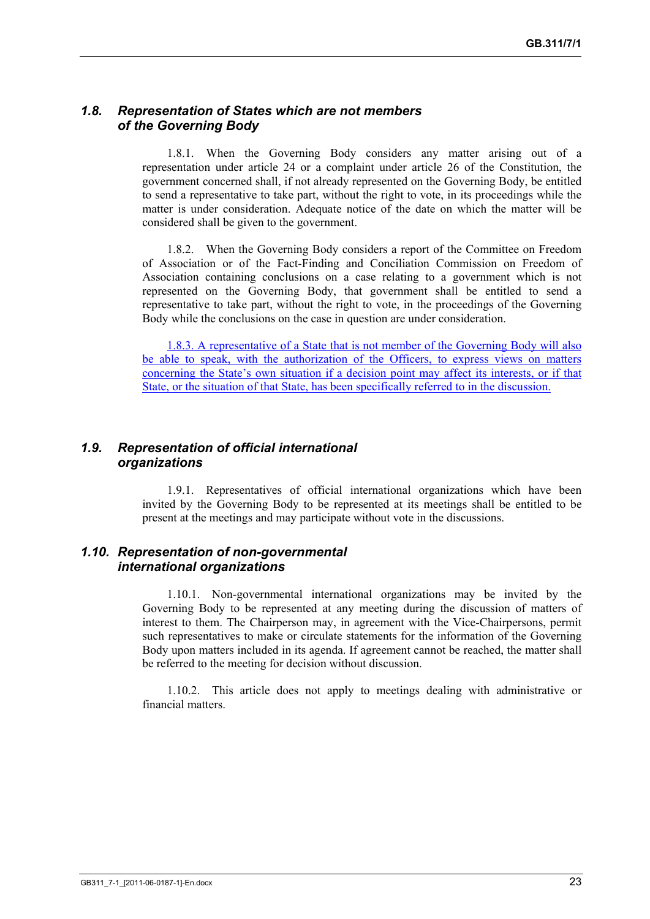## *1.8. Representation of States which are not members of the Governing Body*

1.8.1. When the Governing Body considers any matter arising out of a representation under article 24 or a complaint under article 26 of the Constitution, the government concerned shall, if not already represented on the Governing Body, be entitled to send a representative to take part, without the right to vote, in its proceedings while the matter is under consideration. Adequate notice of the date on which the matter will be considered shall be given to the government.

1.8.2. When the Governing Body considers a report of the Committee on Freedom of Association or of the Fact-Finding and Conciliation Commission on Freedom of Association containing conclusions on a case relating to a government which is not represented on the Governing Body, that government shall be entitled to send a representative to take part, without the right to vote, in the proceedings of the Governing Body while the conclusions on the case in question are under consideration.

1.8.3. A representative of a State that is not member of the Governing Body will also be able to speak, with the authorization of the Officers, to express views on matters concerning the State's own situation if a decision point may affect its interests, or if that State, or the situation of that State, has been specifically referred to in the discussion.

## *1.9. Representation of official international organizations*

1.9.1. Representatives of official international organizations which have been invited by the Governing Body to be represented at its meetings shall be entitled to be present at the meetings and may participate without vote in the discussions.

### *1.10. Representation of non-governmental international organizations*

1.10.1. Non-governmental international organizations may be invited by the Governing Body to be represented at any meeting during the discussion of matters of interest to them. The Chairperson may, in agreement with the Vice-Chairpersons, permit such representatives to make or circulate statements for the information of the Governing Body upon matters included in its agenda. If agreement cannot be reached, the matter shall be referred to the meeting for decision without discussion.

1.10.2. This article does not apply to meetings dealing with administrative or financial matters.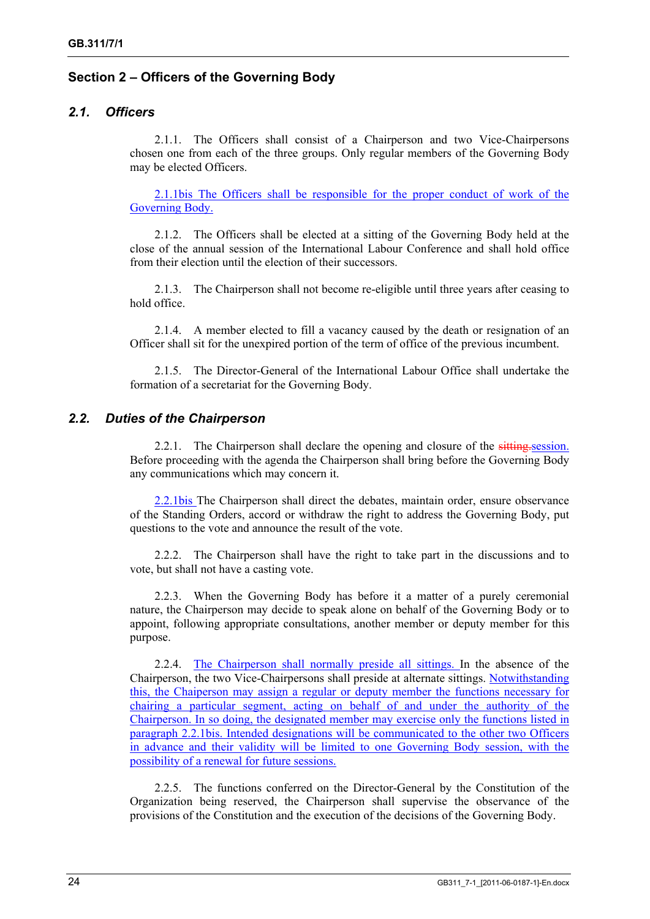# **Section 2 – Officers of the Governing Body**

# *2.1. Officers*

2.1.1. The Officers shall consist of a Chairperson and two Vice-Chairpersons chosen one from each of the three groups. Only regular members of the Governing Body may be elected Officers.

2.1.1bis The Officers shall be responsible for the proper conduct of work of the Governing Body.

2.1.2. The Officers shall be elected at a sitting of the Governing Body held at the close of the annual session of the International Labour Conference and shall hold office from their election until the election of their successors.

2.1.3. The Chairperson shall not become re-eligible until three years after ceasing to hold office.

2.1.4. A member elected to fill a vacancy caused by the death or resignation of an Officer shall sit for the unexpired portion of the term of office of the previous incumbent.

2.1.5. The Director-General of the International Labour Office shall undertake the formation of a secretariat for the Governing Body.

### *2.2. Duties of the Chairperson*

2.2.1. The Chairperson shall declare the opening and closure of the sitting session. Before proceeding with the agenda the Chairperson shall bring before the Governing Body any communications which may concern it.

2.2.1bis The Chairperson shall direct the debates, maintain order, ensure observance of the Standing Orders, accord or withdraw the right to address the Governing Body, put questions to the vote and announce the result of the vote.

2.2.2. The Chairperson shall have the right to take part in the discussions and to vote, but shall not have a casting vote.

2.2.3. When the Governing Body has before it a matter of a purely ceremonial nature, the Chairperson may decide to speak alone on behalf of the Governing Body or to appoint, following appropriate consultations, another member or deputy member for this purpose.

2.2.4. The Chairperson shall normally preside all sittings. In the absence of the Chairperson, the two Vice-Chairpersons shall preside at alternate sittings. Notwithstanding this, the Chaiperson may assign a regular or deputy member the functions necessary for chairing a particular segment, acting on behalf of and under the authority of the Chairperson. In so doing, the designated member may exercise only the functions listed in paragraph 2.2.1bis. Intended designations will be communicated to the other two Officers in advance and their validity will be limited to one Governing Body session, with the possibility of a renewal for future sessions.

2.2.5. The functions conferred on the Director-General by the Constitution of the Organization being reserved, the Chairperson shall supervise the observance of the provisions of the Constitution and the execution of the decisions of the Governing Body.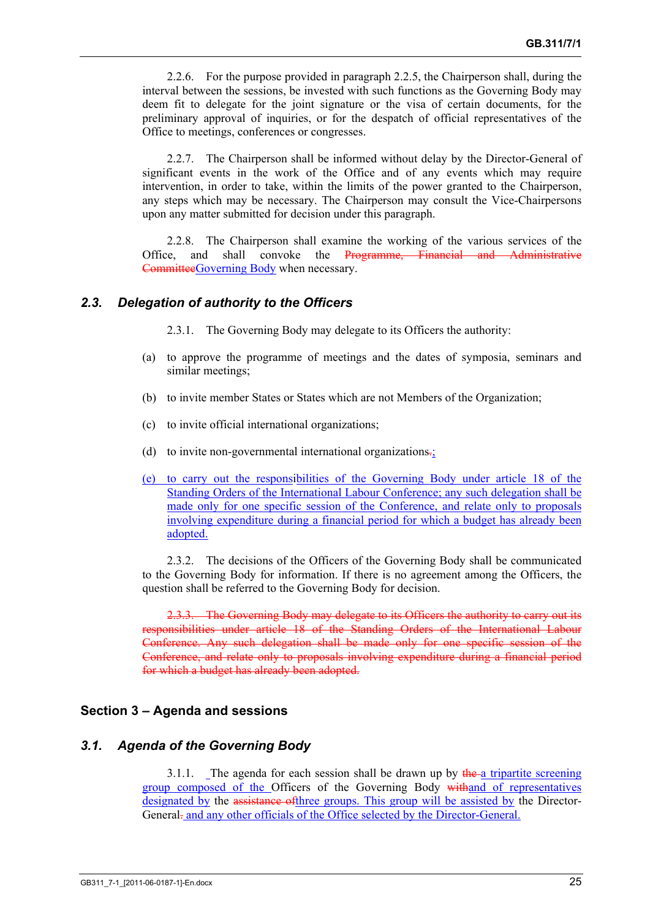2.2.6. For the purpose provided in paragraph 2.2.5, the Chairperson shall, during the interval between the sessions, be invested with such functions as the Governing Body may deem fit to delegate for the joint signature or the visa of certain documents, for the preliminary approval of inquiries, or for the despatch of official representatives of the Office to meetings, conferences or congresses.

2.2.7. The Chairperson shall be informed without delay by the Director-General of significant events in the work of the Office and of any events which may require intervention, in order to take, within the limits of the power granted to the Chairperson, any steps which may be necessary. The Chairperson may consult the Vice-Chairpersons upon any matter submitted for decision under this paragraph.

2.2.8. The Chairperson shall examine the working of the various services of the Office, and shall convoke the Programme, Financial and Administrative CommitteeGoverning Body when necessary.

### *2.3. Delegation of authority to the Officers*

2.3.1. The Governing Body may delegate to its Officers the authority:

- (a) to approve the programme of meetings and the dates of symposia, seminars and similar meetings;
- (b) to invite member States or States which are not Members of the Organization;
- (c) to invite official international organizations;
- (d) to invite non-governmental international organizations.;
- (e) to carry out the responsibilities of the Governing Body under article 18 of the Standing Orders of the International Labour Conference; any such delegation shall be made only for one specific session of the Conference, and relate only to proposals involving expenditure during a financial period for which a budget has already been adopted.

2.3.2. The decisions of the Officers of the Governing Body shall be communicated to the Governing Body for information. If there is no agreement among the Officers, the question shall be referred to the Governing Body for decision.

2.3.3. The Governing Body may delegate to its Officers the authority to carry out its responsibilities under article 18 of the Standing Orders of the International Labour Conference. Any such delegation shall be made only for one specific session of the Conference, and relate only to proposals involving expenditure during a financial period for which a budget has already been adopted.

#### **Section 3 – Agenda and sessions**

#### *3.1. Agenda of the Governing Body*

3.1.1. The agenda for each session shall be drawn up by  $\theta$  the a tripartite screening group composed of the Officers of the Governing Body with and of representatives designated by the assistance of three groups. This group will be assisted by the Director-General. and any other officials of the Office selected by the Director-General.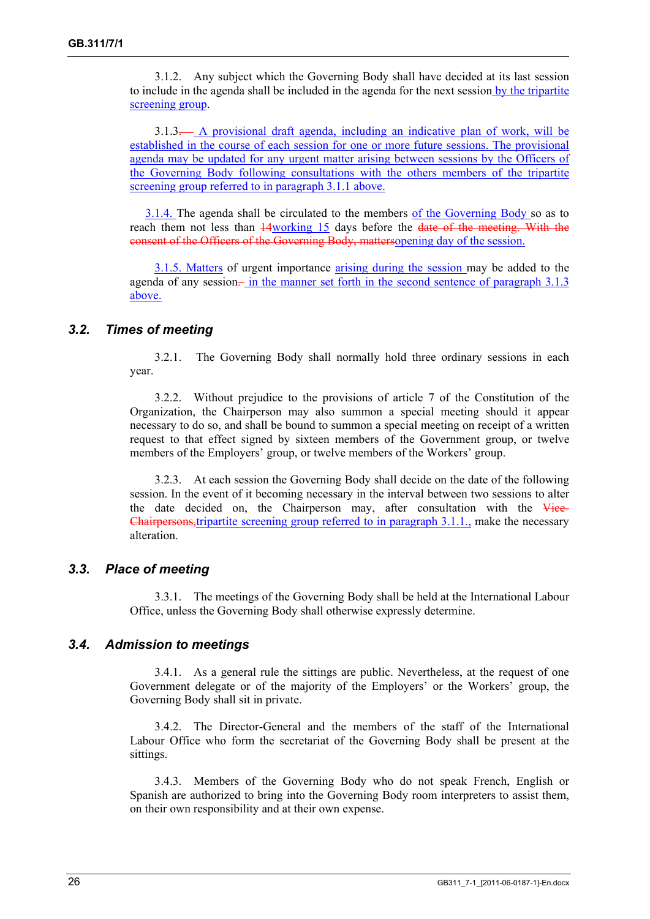3.1.2. Any subject which the Governing Body shall have decided at its last session to include in the agenda shall be included in the agenda for the next session by the tripartite screening group.

3.1.3. A provisional draft agenda, including an indicative plan of work, will be established in the course of each session for one or more future sessions. The provisional agenda may be updated for any urgent matter arising between sessions by the Officers of the Governing Body following consultations with the others members of the tripartite screening group referred to in paragraph 3.1.1 above.

3.1.4. The agenda shall be circulated to the members of the Governing Body so as to reach them not less than  $\frac{14}{20}$  working 15 days before the date of the meeting. With the consent of the Officers of the Governing Body, mattersopening day of the session.

3.1.5. Matters of urgent importance arising during the session may be added to the agenda of any session— in the manner set forth in the second sentence of paragraph 3.1.3 above.

### *3.2. Times of meeting*

3.2.1. The Governing Body shall normally hold three ordinary sessions in each year.

3.2.2. Without prejudice to the provisions of article 7 of the Constitution of the Organization, the Chairperson may also summon a special meeting should it appear necessary to do so, and shall be bound to summon a special meeting on receipt of a written request to that effect signed by sixteen members of the Government group, or twelve members of the Employers' group, or twelve members of the Workers' group.

3.2.3. At each session the Governing Body shall decide on the date of the following session. In the event of it becoming necessary in the interval between two sessions to alter the date decided on, the Chairperson may, after consultation with the Vice-Chairpersons,tripartite screening group referred to in paragraph 3.1.1., make the necessary alteration.

#### *3.3. Place of meeting*

3.3.1. The meetings of the Governing Body shall be held at the International Labour Office, unless the Governing Body shall otherwise expressly determine.

#### *3.4. Admission to meetings*

3.4.1. As a general rule the sittings are public. Nevertheless, at the request of one Government delegate or of the majority of the Employers' or the Workers' group, the Governing Body shall sit in private.

3.4.2. The Director-General and the members of the staff of the International Labour Office who form the secretariat of the Governing Body shall be present at the sittings.

3.4.3. Members of the Governing Body who do not speak French, English or Spanish are authorized to bring into the Governing Body room interpreters to assist them, on their own responsibility and at their own expense.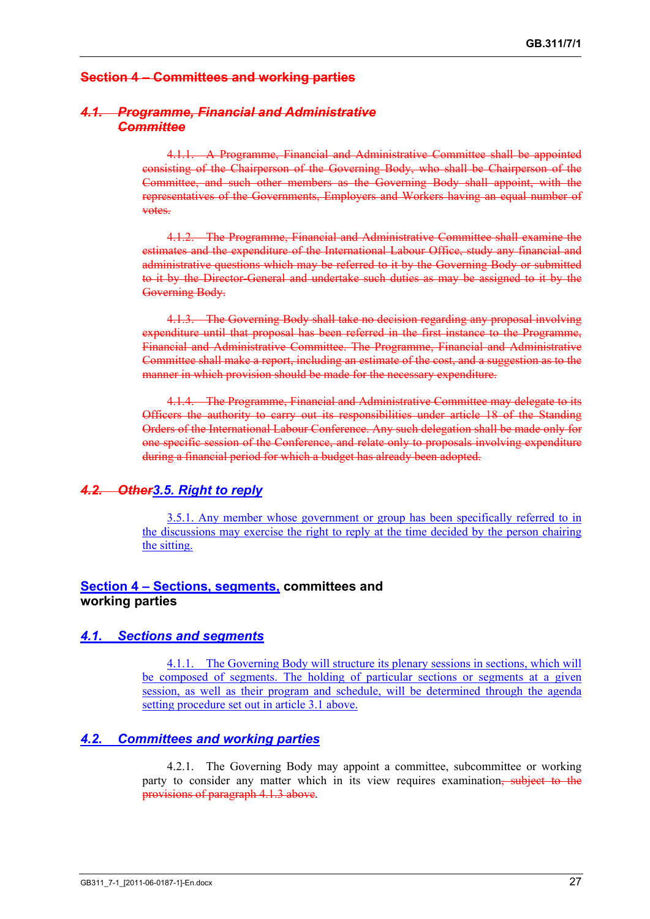# **Section 4 – Committees and working parties**

## *4.1. Programme, Financial and Administrative Committee*

4.1.1. A Programme, Financial and Administrative Committee shall be appointed consisting of the Chairperson of the Governing Body, who shall be Chairperson of the Committee, and such other members as the Governing Body shall appoint, with the representatives of the Governments, Employers and Workers having an equal number of votes.

4.1.2. The Programme, Financial and Administrative Committee shall examine the estimates and the expenditure of the International Labour Office, study any financial and administrative questions which may be referred to it by the Governing Body or submitted to it by the Director-General and undertake such duties as may be assigned to it by the Governing Body.

4.1.3. The Governing Body shall take no decision regarding any proposal involving expenditure until that proposal has been referred in the first instance to the Programme, Financial and Administrative Committee. The Programme, Financial and Administrative Committee shall make a report, including an estimate of the cost, and a suggestion as to the manner in which provision should be made for the necessary expenditure.

4.1.4. The Programme, Financial and Administrative Committee may delegate to its Officers the authority to carry out its responsibilities under article 18 of the Standing Orders of the International Labour Conference. Any such delegation shall be made only for one specific session of the Conference, and relate only to proposals involving expenditure during a financial period for which a budget has already been adopted.

# *4.2. Other3.5. Right to reply*

3.5.1. Any member whose government or group has been specifically referred to in the discussions may exercise the right to reply at the time decided by the person chairing the sitting.

#### **Section 4 – Sections, segments, committees and working parties**

#### *4.1. Sections and segments*

4.1.1. The Governing Body will structure its plenary sessions in sections, which will be composed of segments. The holding of particular sections or segments at a given session, as well as their program and schedule, will be determined through the agenda setting procedure set out in article 3.1 above.

#### *4.2. Committees and working parties*

4.2.1. The Governing Body may appoint a committee, subcommittee or working party to consider any matter which in its view requires examination, subject to the provisions of paragraph 4.1.3 above.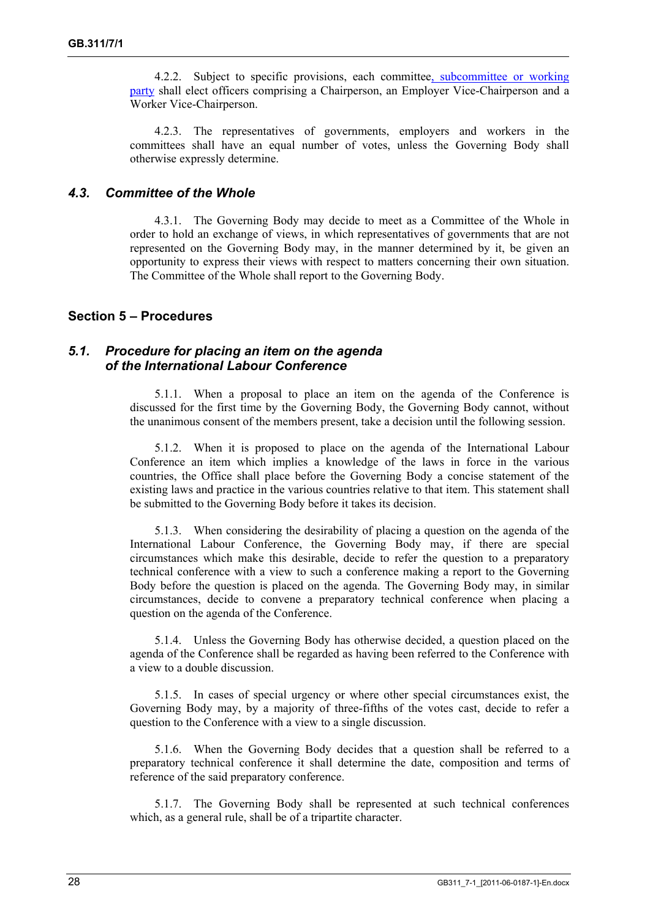4.2.2. Subject to specific provisions, each committee, subcommittee or working party shall elect officers comprising a Chairperson, an Employer Vice-Chairperson and a Worker Vice-Chairperson.

4.2.3. The representatives of governments, employers and workers in the committees shall have an equal number of votes, unless the Governing Body shall otherwise expressly determine.

#### *4.3. Committee of the Whole*

4.3.1. The Governing Body may decide to meet as a Committee of the Whole in order to hold an exchange of views, in which representatives of governments that are not represented on the Governing Body may, in the manner determined by it, be given an opportunity to express their views with respect to matters concerning their own situation. The Committee of the Whole shall report to the Governing Body.

### **Section 5 – Procedures**

#### *5.1. Procedure for placing an item on the agenda of the International Labour Conference*

5.1.1. When a proposal to place an item on the agenda of the Conference is discussed for the first time by the Governing Body, the Governing Body cannot, without the unanimous consent of the members present, take a decision until the following session.

5.1.2. When it is proposed to place on the agenda of the International Labour Conference an item which implies a knowledge of the laws in force in the various countries, the Office shall place before the Governing Body a concise statement of the existing laws and practice in the various countries relative to that item. This statement shall be submitted to the Governing Body before it takes its decision.

5.1.3. When considering the desirability of placing a question on the agenda of the International Labour Conference, the Governing Body may, if there are special circumstances which make this desirable, decide to refer the question to a preparatory technical conference with a view to such a conference making a report to the Governing Body before the question is placed on the agenda. The Governing Body may, in similar circumstances, decide to convene a preparatory technical conference when placing a question on the agenda of the Conference.

5.1.4. Unless the Governing Body has otherwise decided, a question placed on the agenda of the Conference shall be regarded as having been referred to the Conference with a view to a double discussion.

5.1.5. In cases of special urgency or where other special circumstances exist, the Governing Body may, by a majority of three-fifths of the votes cast, decide to refer a question to the Conference with a view to a single discussion.

5.1.6. When the Governing Body decides that a question shall be referred to a preparatory technical conference it shall determine the date, composition and terms of reference of the said preparatory conference.

5.1.7. The Governing Body shall be represented at such technical conferences which, as a general rule, shall be of a tripartite character.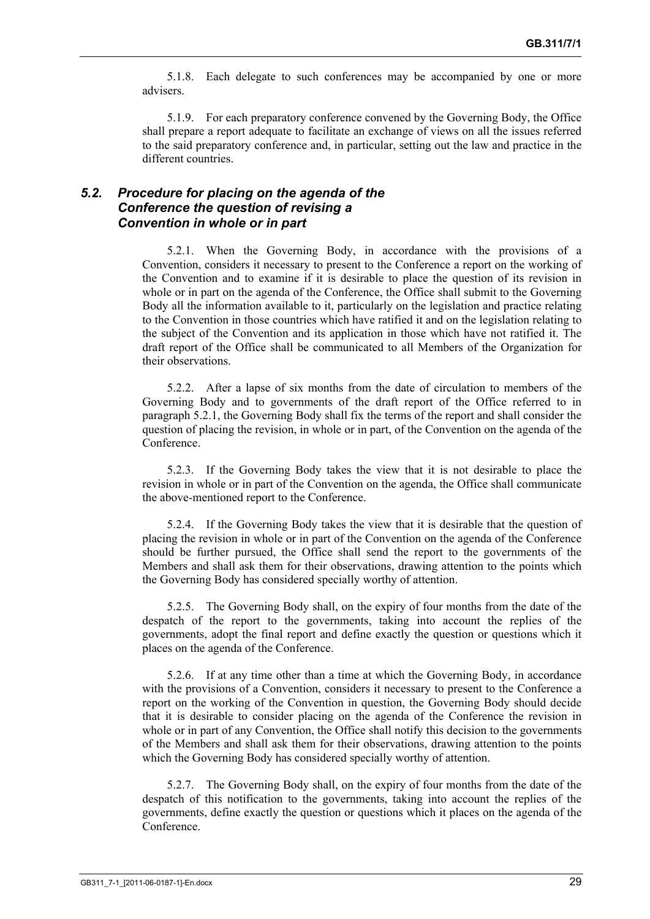5.1.8. Each delegate to such conferences may be accompanied by one or more advisers.

5.1.9. For each preparatory conference convened by the Governing Body, the Office shall prepare a report adequate to facilitate an exchange of views on all the issues referred to the said preparatory conference and, in particular, setting out the law and practice in the different countries.

# *5.2. Procedure for placing on the agenda of the Conference the question of revising a Convention in whole or in part*

5.2.1. When the Governing Body, in accordance with the provisions of a Convention, considers it necessary to present to the Conference a report on the working of the Convention and to examine if it is desirable to place the question of its revision in whole or in part on the agenda of the Conference, the Office shall submit to the Governing Body all the information available to it, particularly on the legislation and practice relating to the Convention in those countries which have ratified it and on the legislation relating to the subject of the Convention and its application in those which have not ratified it. The draft report of the Office shall be communicated to all Members of the Organization for their observations.

5.2.2. After a lapse of six months from the date of circulation to members of the Governing Body and to governments of the draft report of the Office referred to in paragraph 5.2.1, the Governing Body shall fix the terms of the report and shall consider the question of placing the revision, in whole or in part, of the Convention on the agenda of the **Conference** 

5.2.3. If the Governing Body takes the view that it is not desirable to place the revision in whole or in part of the Convention on the agenda, the Office shall communicate the above-mentioned report to the Conference.

5.2.4. If the Governing Body takes the view that it is desirable that the question of placing the revision in whole or in part of the Convention on the agenda of the Conference should be further pursued, the Office shall send the report to the governments of the Members and shall ask them for their observations, drawing attention to the points which the Governing Body has considered specially worthy of attention.

5.2.5. The Governing Body shall, on the expiry of four months from the date of the despatch of the report to the governments, taking into account the replies of the governments, adopt the final report and define exactly the question or questions which it places on the agenda of the Conference.

5.2.6. If at any time other than a time at which the Governing Body, in accordance with the provisions of a Convention, considers it necessary to present to the Conference a report on the working of the Convention in question, the Governing Body should decide that it is desirable to consider placing on the agenda of the Conference the revision in whole or in part of any Convention, the Office shall notify this decision to the governments of the Members and shall ask them for their observations, drawing attention to the points which the Governing Body has considered specially worthy of attention.

5.2.7. The Governing Body shall, on the expiry of four months from the date of the despatch of this notification to the governments, taking into account the replies of the governments, define exactly the question or questions which it places on the agenda of the Conference.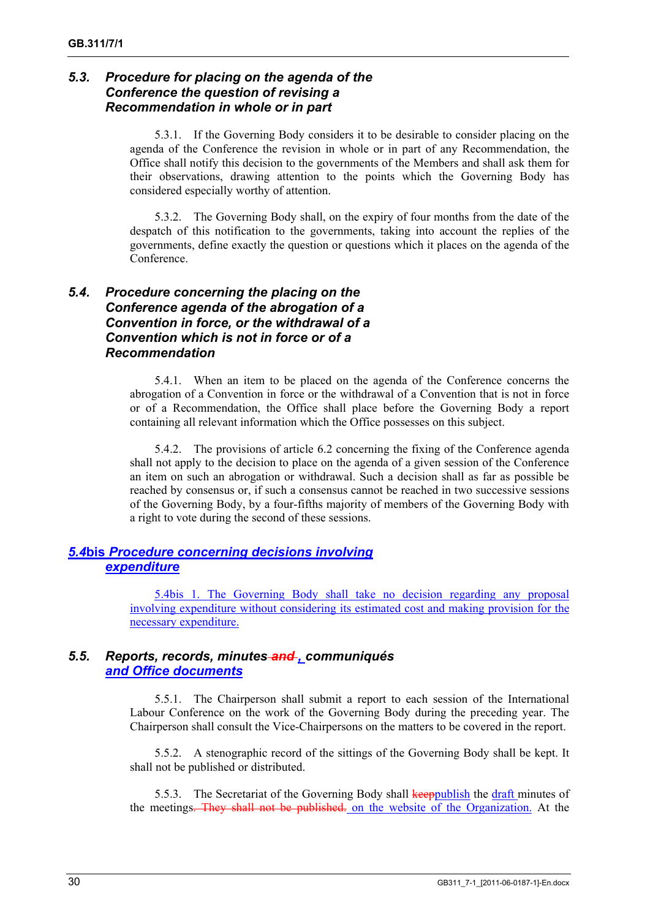# *5.3. Procedure for placing on the agenda of the Conference the question of revising a Recommendation in whole or in part*

5.3.1. If the Governing Body considers it to be desirable to consider placing on the agenda of the Conference the revision in whole or in part of any Recommendation, the Office shall notify this decision to the governments of the Members and shall ask them for their observations, drawing attention to the points which the Governing Body has considered especially worthy of attention.

5.3.2. The Governing Body shall, on the expiry of four months from the date of the despatch of this notification to the governments, taking into account the replies of the governments, define exactly the question or questions which it places on the agenda of the Conference.

# *5.4. Procedure concerning the placing on the Conference agenda of the abrogation of a Convention in force, or the withdrawal of a Convention which is not in force or of a Recommendation*

5.4.1. When an item to be placed on the agenda of the Conference concerns the abrogation of a Convention in force or the withdrawal of a Convention that is not in force or of a Recommendation, the Office shall place before the Governing Body a report containing all relevant information which the Office possesses on this subject.

5.4.2. The provisions of article 6.2 concerning the fixing of the Conference agenda shall not apply to the decision to place on the agenda of a given session of the Conference an item on such an abrogation or withdrawal. Such a decision shall as far as possible be reached by consensus or, if such a consensus cannot be reached in two successive sessions of the Governing Body, by a four-fifths majority of members of the Governing Body with a right to vote during the second of these sessions.

# *5.4***bis** *Procedure concerning decisions involving expenditure*

5.4bis 1. The Governing Body shall take no decision regarding any proposal involving expenditure without considering its estimated cost and making provision for the necessary expenditure.

# *5.5. Reports, records, minutes and , communiqués and Office documents*

5.5.1. The Chairperson shall submit a report to each session of the International Labour Conference on the work of the Governing Body during the preceding year. The Chairperson shall consult the Vice-Chairpersons on the matters to be covered in the report.

5.5.2. A stenographic record of the sittings of the Governing Body shall be kept. It shall not be published or distributed.

5.5.3. The Secretariat of the Governing Body shall keeppublish the draft minutes of the meetings. They shall not be published. on the website of the Organization. At the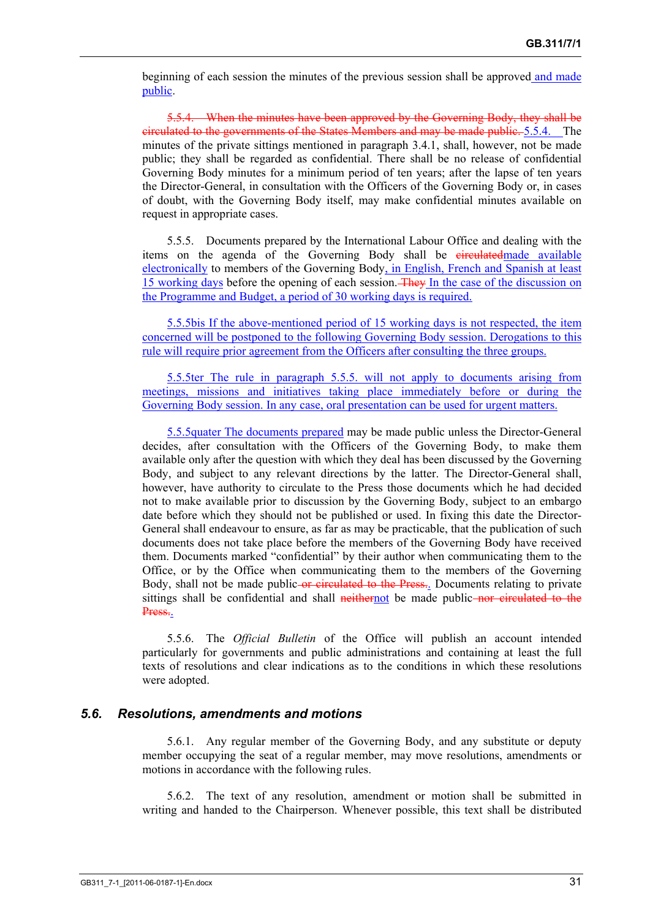beginning of each session the minutes of the previous session shall be approved and made public.

5.5.4. When the minutes have been approved by the Governing Body, they shall be circulated to the governments of the States Members and may be made public. 5.5.4. The minutes of the private sittings mentioned in paragraph 3.4.1, shall, however, not be made public; they shall be regarded as confidential. There shall be no release of confidential Governing Body minutes for a minimum period of ten years; after the lapse of ten years the Director-General, in consultation with the Officers of the Governing Body or, in cases of doubt, with the Governing Body itself, may make confidential minutes available on request in appropriate cases.

5.5.5. Documents prepared by the International Labour Office and dealing with the items on the agenda of the Governing Body shall be eirculatedmade available electronically to members of the Governing Body, in English, French and Spanish at least 15 working days before the opening of each session. They In the case of the discussion on the Programme and Budget, a period of 30 working days is required.

5.5.5bis If the above-mentioned period of 15 working days is not respected, the item concerned will be postponed to the following Governing Body session. Derogations to this rule will require prior agreement from the Officers after consulting the three groups.

5.5.5ter The rule in paragraph 5.5.5. will not apply to documents arising from meetings, missions and initiatives taking place immediately before or during the Governing Body session. In any case, oral presentation can be used for urgent matters.

5.5.5quater The documents prepared may be made public unless the Director-General decides, after consultation with the Officers of the Governing Body, to make them available only after the question with which they deal has been discussed by the Governing Body, and subject to any relevant directions by the latter. The Director-General shall, however, have authority to circulate to the Press those documents which he had decided not to make available prior to discussion by the Governing Body, subject to an embargo date before which they should not be published or used. In fixing this date the Director-General shall endeavour to ensure, as far as may be practicable, that the publication of such documents does not take place before the members of the Governing Body have received them. Documents marked "confidential" by their author when communicating them to the Office, or by the Office when communicating them to the members of the Governing Body, shall not be made public or circulated to the Press. Documents relating to private sittings shall be confidential and shall neithernot be made public-nor circulated to the Press..

5.5.6. The *Official Bulletin* of the Office will publish an account intended particularly for governments and public administrations and containing at least the full texts of resolutions and clear indications as to the conditions in which these resolutions were adopted.

#### *5.6. Resolutions, amendments and motions*

5.6.1. Any regular member of the Governing Body, and any substitute or deputy member occupying the seat of a regular member, may move resolutions, amendments or motions in accordance with the following rules.

5.6.2. The text of any resolution, amendment or motion shall be submitted in writing and handed to the Chairperson. Whenever possible, this text shall be distributed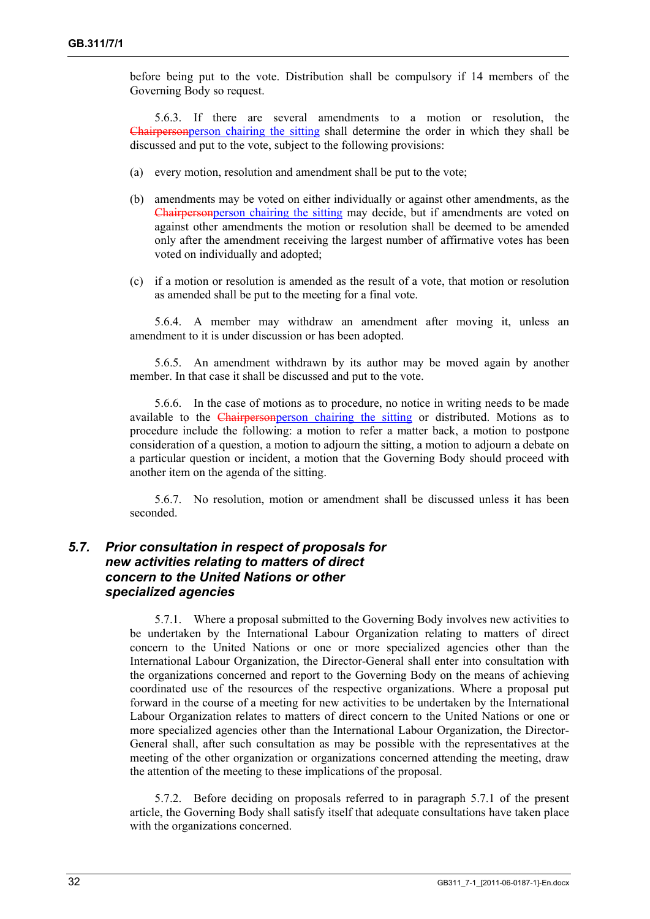before being put to the vote. Distribution shall be compulsory if 14 members of the Governing Body so request.

5.6.3. If there are several amendments to a motion or resolution, the Chairpersonperson chairing the sitting shall determine the order in which they shall be discussed and put to the vote, subject to the following provisions:

- (a) every motion, resolution and amendment shall be put to the vote;
- (b) amendments may be voted on either individually or against other amendments, as the Chairpersonperson chairing the sitting may decide, but if amendments are voted on against other amendments the motion or resolution shall be deemed to be amended only after the amendment receiving the largest number of affirmative votes has been voted on individually and adopted;
- (c) if a motion or resolution is amended as the result of a vote, that motion or resolution as amended shall be put to the meeting for a final vote.

5.6.4. A member may withdraw an amendment after moving it, unless an amendment to it is under discussion or has been adopted.

5.6.5. An amendment withdrawn by its author may be moved again by another member. In that case it shall be discussed and put to the vote.

5.6.6. In the case of motions as to procedure, no notice in writing needs to be made available to the Chairpersonperson chairing the sitting or distributed. Motions as to procedure include the following: a motion to refer a matter back, a motion to postpone consideration of a question, a motion to adjourn the sitting, a motion to adjourn a debate on a particular question or incident, a motion that the Governing Body should proceed with another item on the agenda of the sitting.

5.6.7. No resolution, motion or amendment shall be discussed unless it has been seconded.

## *5.7. Prior consultation in respect of proposals for new activities relating to matters of direct concern to the United Nations or other specialized agencies*

5.7.1. Where a proposal submitted to the Governing Body involves new activities to be undertaken by the International Labour Organization relating to matters of direct concern to the United Nations or one or more specialized agencies other than the International Labour Organization, the Director-General shall enter into consultation with the organizations concerned and report to the Governing Body on the means of achieving coordinated use of the resources of the respective organizations. Where a proposal put forward in the course of a meeting for new activities to be undertaken by the International Labour Organization relates to matters of direct concern to the United Nations or one or more specialized agencies other than the International Labour Organization, the Director-General shall, after such consultation as may be possible with the representatives at the meeting of the other organization or organizations concerned attending the meeting, draw the attention of the meeting to these implications of the proposal.

5.7.2. Before deciding on proposals referred to in paragraph 5.7.1 of the present article, the Governing Body shall satisfy itself that adequate consultations have taken place with the organizations concerned.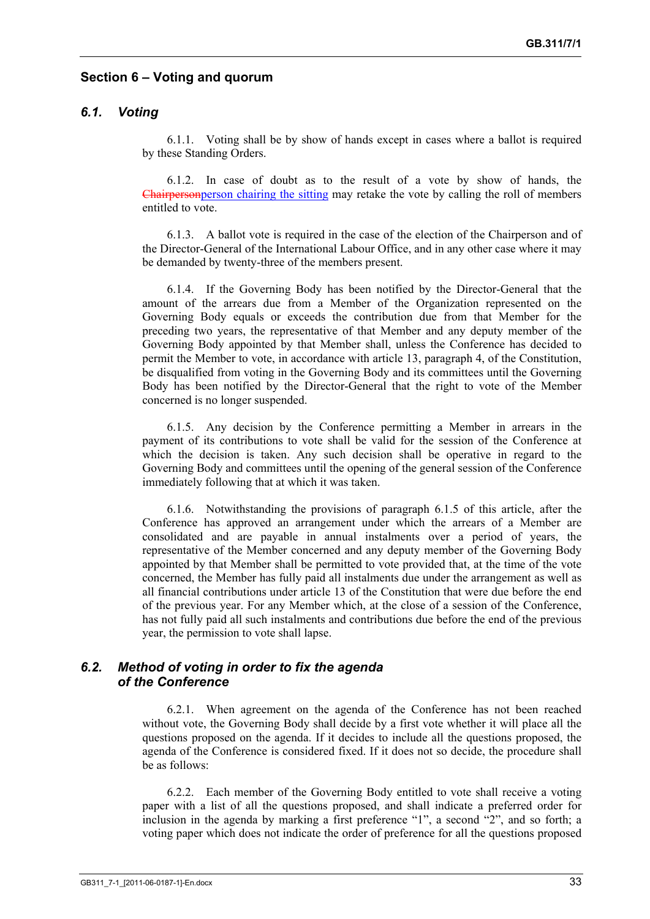# **Section 6 – Voting and quorum**

# *6.1. Voting*

6.1.1. Voting shall be by show of hands except in cases where a ballot is required by these Standing Orders.

6.1.2. In case of doubt as to the result of a vote by show of hands, the Chairpersonperson chairing the sitting may retake the vote by calling the roll of members entitled to vote.

6.1.3. A ballot vote is required in the case of the election of the Chairperson and of the Director-General of the International Labour Office, and in any other case where it may be demanded by twenty-three of the members present.

6.1.4. If the Governing Body has been notified by the Director-General that the amount of the arrears due from a Member of the Organization represented on the Governing Body equals or exceeds the contribution due from that Member for the preceding two years, the representative of that Member and any deputy member of the Governing Body appointed by that Member shall, unless the Conference has decided to permit the Member to vote, in accordance with article 13, paragraph 4, of the Constitution, be disqualified from voting in the Governing Body and its committees until the Governing Body has been notified by the Director-General that the right to vote of the Member concerned is no longer suspended.

6.1.5. Any decision by the Conference permitting a Member in arrears in the payment of its contributions to vote shall be valid for the session of the Conference at which the decision is taken. Any such decision shall be operative in regard to the Governing Body and committees until the opening of the general session of the Conference immediately following that at which it was taken.

6.1.6. Notwithstanding the provisions of paragraph 6.1.5 of this article, after the Conference has approved an arrangement under which the arrears of a Member are consolidated and are payable in annual instalments over a period of years, the representative of the Member concerned and any deputy member of the Governing Body appointed by that Member shall be permitted to vote provided that, at the time of the vote concerned, the Member has fully paid all instalments due under the arrangement as well as all financial contributions under article 13 of the Constitution that were due before the end of the previous year. For any Member which, at the close of a session of the Conference, has not fully paid all such instalments and contributions due before the end of the previous year, the permission to vote shall lapse.

# *6.2. Method of voting in order to fix the agenda of the Conference*

6.2.1. When agreement on the agenda of the Conference has not been reached without vote, the Governing Body shall decide by a first vote whether it will place all the questions proposed on the agenda. If it decides to include all the questions proposed, the agenda of the Conference is considered fixed. If it does not so decide, the procedure shall be as follows:

6.2.2. Each member of the Governing Body entitled to vote shall receive a voting paper with a list of all the questions proposed, and shall indicate a preferred order for inclusion in the agenda by marking a first preference "1", a second "2", and so forth; a voting paper which does not indicate the order of preference for all the questions proposed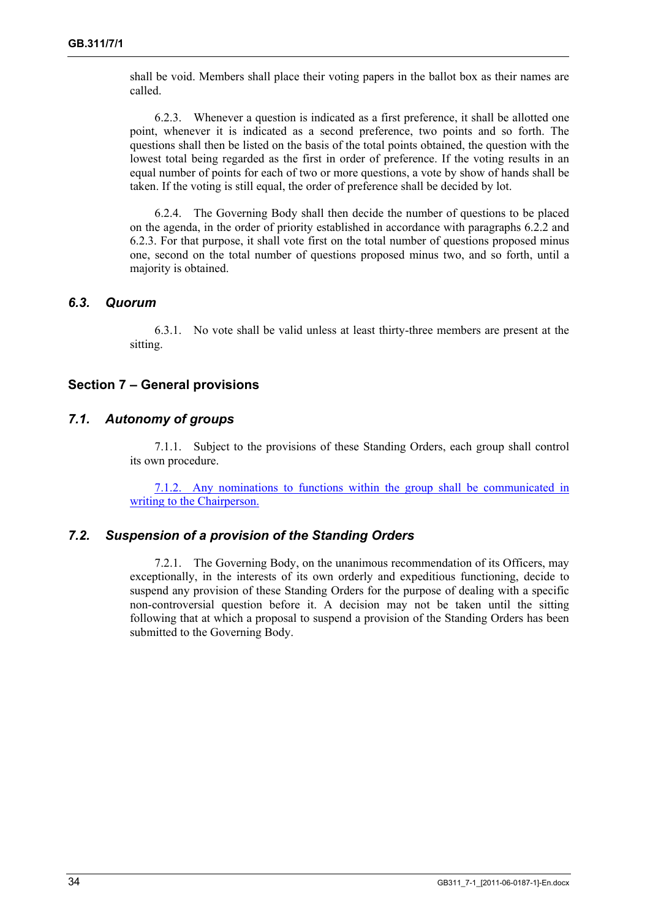shall be void. Members shall place their voting papers in the ballot box as their names are called.

6.2.3. Whenever a question is indicated as a first preference, it shall be allotted one point, whenever it is indicated as a second preference, two points and so forth. The questions shall then be listed on the basis of the total points obtained, the question with the lowest total being regarded as the first in order of preference. If the voting results in an equal number of points for each of two or more questions, a vote by show of hands shall be taken. If the voting is still equal, the order of preference shall be decided by lot.

6.2.4. The Governing Body shall then decide the number of questions to be placed on the agenda, in the order of priority established in accordance with paragraphs 6.2.2 and 6.2.3. For that purpose, it shall vote first on the total number of questions proposed minus one, second on the total number of questions proposed minus two, and so forth, until a majority is obtained.

#### *6.3. Quorum*

6.3.1. No vote shall be valid unless at least thirty-three members are present at the sitting.

### **Section 7 – General provisions**

### *7.1. Autonomy of groups*

7.1.1. Subject to the provisions of these Standing Orders, each group shall control its own procedure.

7.1.2. Any nominations to functions within the group shall be communicated in writing to the Chairperson.

#### *7.2. Suspension of a provision of the Standing Orders*

7.2.1. The Governing Body, on the unanimous recommendation of its Officers, may exceptionally, in the interests of its own orderly and expeditious functioning, decide to suspend any provision of these Standing Orders for the purpose of dealing with a specific non-controversial question before it. A decision may not be taken until the sitting following that at which a proposal to suspend a provision of the Standing Orders has been submitted to the Governing Body.